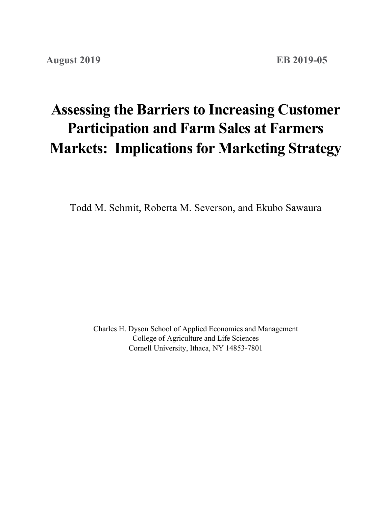# **Assessing the Barriers to Increasing Customer Markets: Implications for Marketing Strategy Participation and Farm Sales at Farmers**

Todd M. Schmit, Roberta M. Severson, and Ekubo Sawaura

Charles H. Dyson School of Applied Economics and Management College of Agriculture and Life Sciences Cornell University, Ithaca, NY 14853-7801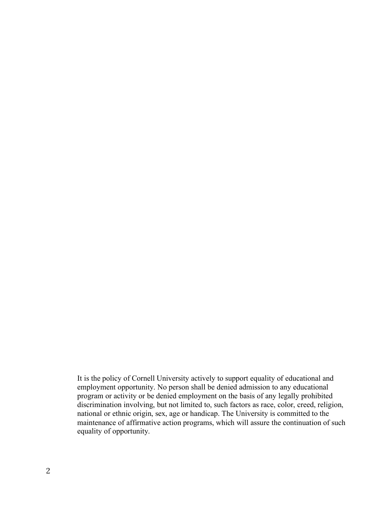It is the policy of Cornell University actively to support equality of educational and employment opportunity. No person shall be denied admission to any educational program or activity or be denied employment on the basis of any legally prohibited discrimination involving, but not limited to, such factors as race, color, creed, religion, national or ethnic origin, sex, age or handicap. The University is committed to the maintenance of affirmative action programs, which will assure the continuation of such equality of opportunity.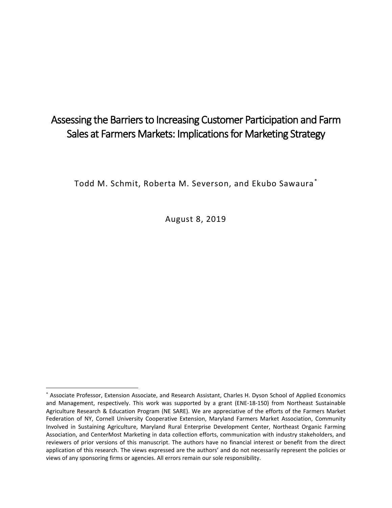# Assessing the Barriers to Increasing Customer Participation and Farm Sales at Farmers Markets: Implications for Marketing Strategy

Todd M. Schmit, Roberta M. Severson, and Ekubo Sawaura [\\*](#page-2-0)

August 8, 2019

<span id="page-2-0"></span> <sup>\*</sup> Associate Professor, Extension Associate, and Research Assistant, Charles H. Dyson School of Applied Economics and Management, respectively. This work was supported by a grant (ENE-18-150) from Northeast Sustainable Agriculture Research & Education Program (NE SARE). We are appreciative of the efforts of the Farmers Market Federation of NY, Cornell University Cooperative Extension, Maryland Farmers Market Association, Community Involved in Sustaining Agriculture, Maryland Rural Enterprise Development Center, Northeast Organic Farming Association, and CenterMost Marketing in data collection efforts, communication with industry stakeholders, and reviewers of prior versions of this manuscript. The authors have no financial interest or benefit from the direct application of this research. The views expressed are the authors' and do not necessarily represent the policies or views of any sponsoring firms or agencies. All errors remain our sole responsibility.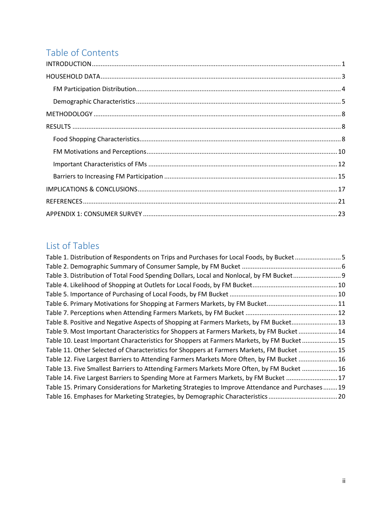# Table of Contents

# List of Tables

| Table 1. Distribution of Respondents on Trips and Purchases for Local Foods, by Bucket5          |  |
|--------------------------------------------------------------------------------------------------|--|
|                                                                                                  |  |
| Table 3. Distribution of Total Food Spending Dollars, Local and Nonlocal, by FM Bucket           |  |
|                                                                                                  |  |
|                                                                                                  |  |
| Table 6. Primary Motivations for Shopping at Farmers Markets, by FM Bucket11                     |  |
|                                                                                                  |  |
| Table 8. Positive and Negative Aspects of Shopping at Farmers Markets, by FM Bucket 13           |  |
| Table 9. Most Important Characteristics for Shoppers at Farmers Markets, by FM Bucket  14        |  |
| Table 10. Least Important Characteristics for Shoppers at Farmers Markets, by FM Bucket 15       |  |
| Table 11. Other Selected of Characteristics for Shoppers at Farmers Markets, FM Bucket  15       |  |
| Table 12. Five Largest Barriers to Attending Farmers Markets More Often, by FM Bucket  16        |  |
| Table 13. Five Smallest Barriers to Attending Farmers Markets More Often, by FM Bucket  16       |  |
| Table 14. Five Largest Barriers to Spending More at Farmers Markets, by FM Bucket  17            |  |
| Table 15. Primary Considerations for Marketing Strategies to Improve Attendance and Purchases 19 |  |
| Table 16. Emphases for Marketing Strategies, by Demographic Characteristics 20                   |  |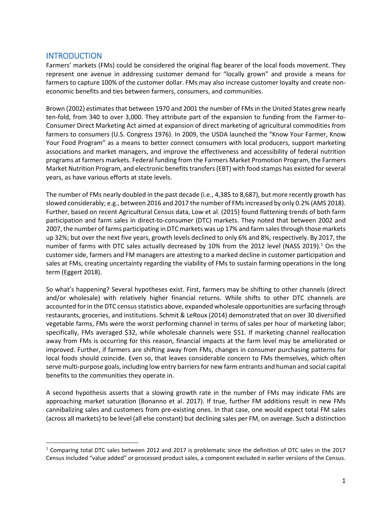# <span id="page-4-0"></span>**INTRODUCTION**

Farmers' markets (FMs) could be considered the original flag bearer of the local foods movement. They represent one avenue in addressing customer demand for "locally grown" and provide a means for farmers to capture 100% of the customer dollar. FMs may also increase customer loyalty and create noneconomic benefits and ties between farmers, consumers, and communities.

Brown (2002) estimates that between 1970 and 2001 the number of FMs in the United States grew nearly ten-fold, from 340 to over 3,000. They attribute part of the expansion to funding from the Farmer-to-Consumer Direct Marketing Act aimed at expansion of direct marketing of agricultural commodities from farmers to consumers (U.S. Congress 1976). In 2009, the USDA launched the "Know Your Farmer, Know Your Food Program" as a means to better connect consumers with local producers, support marketing associations and market managers, and improve the effectiveness and accessibility of federal nutrition programs at farmers markets. Federal funding from the Farmers Market Promotion Program, the Farmers Market Nutrition Program, and electronic benefits transfers (EBT) with food stamps has existed for several years, as have various efforts at state levels.

The number of FMs nearly doubled in the past decade (i.e., 4,385 to 8,687), but more recently growth has slowed considerably; e.g., between 2016 and 2017 the number of FMs increased by only 0.2% (AMS 2018). Further, based on recent Agricultural Census data, Low et al. (2015) found flattening trends of both farm participation and farm sales in direct-to-consumer (DTC) markets. They noted that between 2002 and 2007, the number of farms participating in DTC markets was up 17% and farm sales through those markets up 32%; but over the next five years, growth levels declined to only 6% and 8%, respectively. By 2017, the number of farms with DTC sales actually decreased by [1](#page-4-1)0% from the 2012 level (NASS 2019).<sup>1</sup> On the customer side, farmers and FM managers are attesting to a marked decline in customer participation and sales at FMs, creating uncertainty regarding the viability of FMs to sustain farming operations in the long term (Eggert 2018).

So what's happening? Several hypotheses exist. First, farmers may be shifting to other channels (direct and/or wholesale) with relatively higher financial returns. While shifts to other DTC channels are accounted for in the DTC census statistics above, expanded wholesale opportunities are surfacing through restaurants, groceries, and institutions. Schmit & LeRoux (2014) demonstrated that on over 30 diversified vegetable farms, FMs were the worst performing channel in terms of sales per hour of marketing labor; specifically, FMs averaged \$32, while wholesale channels were \$51. If marketing channel reallocation away from FMs is occurring for this reason, financial impacts at the farm level may be ameliorated or improved. Further, if farmers are shifting away from FMs, changes in consumer purchasing patterns for local foods should coincide. Even so, that leaves considerable concern to FMs themselves, which often serve multi-purpose goals, including low entry barriers for new farm entrants and human and social capital benefits to the communities they operate in.

A second hypothesis asserts that a slowing growth rate in the number of FMs may indicate FMs are approaching market saturation (Bonanno et al. 2017). If true, further FM additions result in new FMs cannibalizing sales and customers from pre-existing ones. In that case, one would expect total FM sales (across all markets) to be level (all else constant) but declining sales per FM, on average. Such a distinction

<span id="page-4-1"></span> <sup>1</sup> Comparing total DTC sales between 2012 and 2017 is problematic since the definition of DTC sales in the 2017 Census included "value added" or processed product sales, a component excluded in earlier versions of the Census.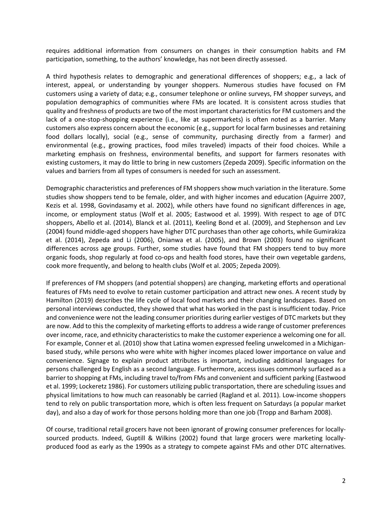requires additional information from consumers on changes in their consumption habits and FM participation, something, to the authors' knowledge, has not been directly assessed.

A third hypothesis relates to demographic and generational differences of shoppers; e.g., a lack of interest, appeal, or understanding by younger shoppers. Numerous studies have focused on FM customers using a variety of data; e.g., consumer telephone or online surveys, FM shopper surveys, and population demographics of communities where FMs are located. It is consistent across studies that quality and freshness of products are two of the most important characteristics for FM customers and the lack of a one-stop-shopping experience (i.e., like at supermarkets) is often noted as a barrier. Many customers also express concern about the economic (e.g., support for local farm businesses and retaining food dollars locally), social (e.g., sense of community, purchasing directly from a farmer) and environmental (e.g., growing practices, food miles traveled) impacts of their food choices. While a marketing emphasis on freshness, environmental benefits, and support for farmers resonates with existing customers, it may do little to bring in new customers (Zepeda 2009). Specific information on the values and barriers from all types of consumers is needed for such an assessment.

Demographic characteristics and preferences of FM shoppers show much variation in the literature. Some studies show shoppers tend to be female, older, and with higher incomes and education (Aguirre 2007, Kezis et al. 1998, Govindasamy et al. 2002), while others have found no significant differences in age, income, or employment status (Wolf et al. 2005; Eastwood et al. 1999). With respect to age of DTC shoppers, Abello et al. (2014), Blanck et al. (2011), Keeling Bond et al. (2009), and Stephenson and Lev (2004) found middle-aged shoppers have higher DTC purchases than other age cohorts, while Gumirakiza et al. (2014), Zepeda and Li (2006), Onianwa et al. (2005), and Brown (2003) found no significant differences across age groups. Further, some studies have found that FM shoppers tend to buy more organic foods, shop regularly at food co-ops and health food stores, have their own vegetable gardens, cook more frequently, and belong to health clubs (Wolf et al. 2005; Zepeda 2009).

If preferences of FM shoppers (and potential shoppers) are changing, marketing efforts and operational features of FMs need to evolve to retain customer participation and attract new ones. A recent study by Hamilton (2019) describes the life cycle of local food markets and their changing landscapes. Based on personal interviews conducted, they showed that what has worked in the past is insufficient today. Price and convenience were not the leading consumer priorities during earlier vestiges of DTC markets but they are now. Add to this the complexity of marketing efforts to address a wide range of customer preferences over income, race, and ethnicity characteristics to make the customer experience a welcoming one for all. For example, Conner et al. (2010) show that Latina women expressed feeling unwelcomed in a Michiganbased study, while persons who were white with higher incomes placed lower importance on value and convenience. Signage to explain product attributes is important, including additional languages for persons challenged by English as a second language. Furthermore, access issues commonly surfaced as a barrier to shopping at FMs, including travel to/from FMs and convenient and sufficient parking (Eastwood et al. 1999; Lockeretz 1986). For customers utilizing public transportation, there are scheduling issues and physical limitations to how much can reasonably be carried (Ragland et al. 2011). Low-income shoppers tend to rely on public transportation more, which is often less frequent on Saturdays (a popular market day), and also a day of work for those persons holding more than one job (Tropp and Barham 2008).

Of course, traditional retail grocers have not been ignorant of growing consumer preferences for locallysourced products. Indeed, Guptill & Wilkins (2002) found that large grocers were marketing locallyproduced food as early as the 1990s as a strategy to compete against FMs and other DTC alternatives.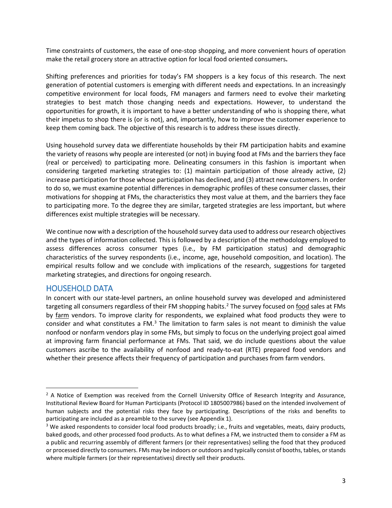Time constraints of customers, the ease of one-stop shopping, and more convenient hours of operation make the retail grocery store an attractive option for local food oriented consumers**.**

Shifting preferences and priorities for today's FM shoppers is a key focus of this research. The next generation of potential customers is emerging with different needs and expectations. In an increasingly competitive environment for local foods, FM managers and farmers need to evolve their marketing strategies to best match those changing needs and expectations. However, to understand the opportunities for growth, it is important to have a better understanding of who is shopping there, what their impetus to shop there is (or is not), and, importantly, how to improve the customer experience to keep them coming back. The objective of this research is to address these issues directly.

Using household survey data we differentiate households by their FM participation habits and examine the variety of reasons why people are interested (or not) in buying food at FMs and the barriers they face (real or perceived) to participating more. Delineating consumers in this fashion is important when considering targeted marketing strategies to: (1) maintain participation of those already active, (2) increase participation for those whose participation has declined, and (3) attract new customers. In order to do so, we must examine potential differences in demographic profiles of these consumer classes, their motivations for shopping at FMs, the characteristics they most value at them, and the barriers they face to participating more. To the degree they are similar, targeted strategies are less important, but where differences exist multiple strategies will be necessary.

We continue now with a description of the household survey data used to address our research objectives and the types of information collected. This is followed by a description of the methodology employed to assess differences across consumer types (i.e., by FM participation status) and demographic characteristics of the survey respondents (i.e., income, age, household composition, and location). The empirical results follow and we conclude with implications of the research, suggestions for targeted marketing strategies, and directions for ongoing research.

## <span id="page-6-0"></span>HOUSEHOLD DATA

In concert with our state-level partners, an online household survey was developed and administered targeting all consumers regardless of their FM shopping habits.<sup>[2](#page-6-1)</sup> The survey focused on food sales at FMs by farm vendors. To improve clarity for respondents, we explained what food products they were to consider and what constitutes a FM. $<sup>3</sup>$  $<sup>3</sup>$  $<sup>3</sup>$  The limitation to farm sales is not meant to diminish the value</sup> nonfood or nonfarm vendors play in some FMs, but simply to focus on the underlying project goal aimed at improving farm financial performance at FMs. That said, we do include questions about the value customers ascribe to the availability of nonfood and ready-to-eat (RTE) prepared food vendors and whether their presence affects their frequency of participation and purchases from farm vendors.

<span id="page-6-1"></span><sup>&</sup>lt;sup>2</sup> A Notice of Exemption was received from the Cornell University Office of Research Integrity and Assurance, Institutional Review Board for Human Participants (Protocol ID 1805007986) based on the intended involvement of human subjects and the potential risks they face by participating. Descriptions of the risks and benefits to participating are included as a preamble to the survey (see Appendix 1).

<span id="page-6-2"></span><sup>&</sup>lt;sup>3</sup> We asked respondents to consider local food products broadly; i.e., fruits and vegetables, meats, dairy products, baked goods, and other processed food products. As to what defines a FM, we instructed them to consider a FM as a public and recurring assembly of different farmers (or their representatives) selling the food that they produced or processed directly to consumers. FMs may be indoors or outdoors and typically consist of booths, tables, or stands where multiple farmers (or their representatives) directly sell their products.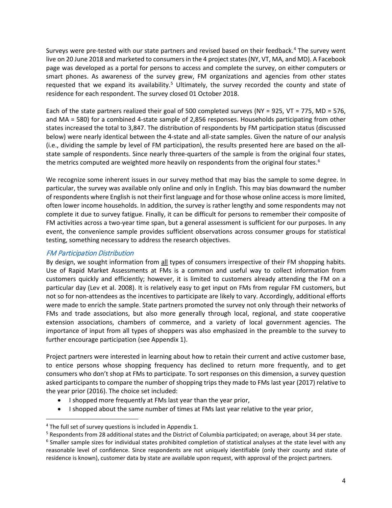Surveys were pre-tested with our state partners and revised based on their feedback.<sup>[4](#page-7-1)</sup> The survey went live on 20 June 2018 and marketed to consumers in the 4 project states (NY, VT, MA, and MD). A Facebook page was developed as a portal for persons to access and complete the survey, on either computers or smart phones. As awareness of the survey grew, FM organizations and agencies from other states requested that we expand its availability.<sup>[5](#page-7-2)</sup> Ultimately, the survey recorded the county and state of residence for each respondent. The survey closed 01 October 2018.

Each of the state partners realized their goal of 500 completed surveys (NY = 925, VT = 775, MD = 576, and MA = 580) for a combined 4-state sample of 2,856 responses. Households participating from other states increased the total to 3,847. The distribution of respondents by FM participation status (discussed below) were nearly identical between the 4-state and all-state samples. Given the nature of our analysis (i.e., dividing the sample by level of FM participation), the results presented here are based on the allstate sample of respondents. Since nearly three-quarters of the sample is from the original four states, the metrics computed are weighted more heavily on respondents from the original four states.<sup>[6](#page-7-3)</sup>

We recognize some inherent issues in our survey method that may bias the sample to some degree. In particular, the survey was available only online and only in English. This may bias downward the number of respondents where English is not their first language and for those whose online access is more limited, often lower income households. In addition, the survey is rather lengthy and some respondents may not complete it due to survey fatigue. Finally, it can be difficult for persons to remember their composite of FM activities across a two-year time span, but a general assessment is sufficient for our purposes. In any event, the convenience sample provides sufficient observations across consumer groups for statistical testing, something necessary to address the research objectives.

#### <span id="page-7-0"></span>FM Participation Distribution

By design, we sought information from all types of consumers irrespective of their FM shopping habits. Use of Rapid Market Assessments at FMs is a common and useful way to collect information from customers quickly and efficiently; however, it is limited to customers already attending the FM on a particular day (Lev et al. 2008). It is relatively easy to get input on FMs from regular FM customers, but not so for non-attendees as the incentives to participate are likely to vary. Accordingly, additional efforts were made to enrich the sample. State partners promoted the survey not only through their networks of FMs and trade associations, but also more generally through local, regional, and state cooperative extension associations, chambers of commerce, and a variety of local government agencies. The importance of input from all types of shoppers was also emphasized in the preamble to the survey to further encourage participation (see Appendix 1).

Project partners were interested in learning about how to retain their current and active customer base, to entice persons whose shopping frequency has declined to return more frequently, and to get consumers who don't shop at FMs to participate. To sort responses on this dimension, a survey question asked participants to compare the number of shopping trips they made to FMs last year (2017) relative to the year prior (2016). The choice set included:

- I shopped more frequently at FMs last year than the year prior,
- I shopped about the same number of times at FMs last year relative to the year prior,

<span id="page-7-1"></span><sup>&</sup>lt;sup>4</sup> The full set of survey questions is included in Appendix 1.

<span id="page-7-2"></span><sup>5</sup> Respondents from 28 additional states and the District of Columbia participated; on average, about 34 per state.

<span id="page-7-3"></span> $6$  Smaller sample sizes for individual states prohibited completion of statistical analyses at the state level with any reasonable level of confidence. Since respondents are not uniquely identifiable (only their county and state of residence is known), customer data by state are available upon request, with approval of the project partners.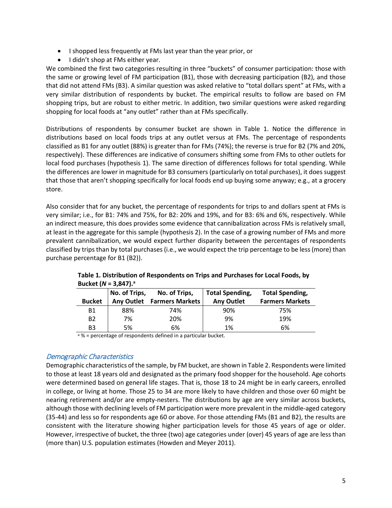- I shopped less frequently at FMs last year than the year prior, or
- I didn't shop at FMs either year.

We combined the first two categories resulting in three "buckets" of consumer participation: those with the same or growing level of FM participation (B1), those with decreasing participation (B2), and those that did not attend FMs (B3). A similar question was asked relative to "total dollars spent" at FMs, with a very similar distribution of respondents by bucket. The empirical results to follow are based on FM shopping trips, but are robust to either metric. In addition, two similar questions were asked regarding shopping for local foods at "any outlet" rather than at FMs specifically.

Distributions of respondents by consumer bucket are shown in Table 1. Notice the difference in distributions based on local foods trips at any outlet versus at FMs. The percentage of respondents classified as B1 for any outlet (88%) is greater than for FMs (74%); the reverse is true for B2 (7% and 20%, respectively). These differences are indicative of consumers shifting some from FMs to other outlets for local food purchases (hypothesis 1). The same direction of differences follows for total spending. While the differences are lower in magnitude for B3 consumers (particularly on total purchases), it does suggest that those that aren't shopping specifically for local foods end up buying some anyway; e.g., at a grocery store.

Also consider that for any bucket, the percentage of respondents for trips to and dollars spent at FMs is very similar; i.e., for B1: 74% and 75%, for B2: 20% and 19%, and for B3: 6% and 6%, respectively. While an indirect measure, this does provides some evidence that cannibalization across FMs is relatively small, at least in the aggregate for this sample (hypothesis 2). In the case of a growing number of FMs and more prevalent cannibalization, we would expect further disparity between the percentages of respondents classified by trips than by total purchases (i.e., we would expect the trip percentage to be less (more) than purchase percentage for B1 (B2)).

|                | No. of Trips,     | No. of Trips,          | <b>Total Spending,</b> | <b>Total Spending,</b> |
|----------------|-------------------|------------------------|------------------------|------------------------|
| <b>Bucket</b>  | <b>Any Outlet</b> | <b>Farmers Markets</b> | <b>Any Outlet</b>      | <b>Farmers Markets</b> |
| <b>B1</b>      | 88%               | 74%                    | 90%                    | 75%                    |
| B <sub>2</sub> | 7%                | 20%                    | 9%                     | 19%                    |
| B3             | 5%                | 6%                     | 1%                     | 6%                     |

| Table 1. Distribution of Respondents on Trips and Purchases for Local Foods, by |
|---------------------------------------------------------------------------------|
| Bucket ( $N = 3,847$ ). <sup>a</sup>                                            |

a % = percentage of respondents defined in a particular bucket.

#### <span id="page-8-0"></span>Demographic Characteristics

Demographic characteristics of the sample, by FM bucket, are shown in Table 2. Respondents were limited to those at least 18 years old and designated as the primary food shopper for the household. Age cohorts were determined based on general life stages. That is, those 18 to 24 might be in early careers, enrolled in college, or living at home. Those 25 to 34 are more likely to have children and those over 60 might be nearing retirement and/or are empty-nesters. The distributions by age are very similar across buckets, although those with declining levels of FM participation were more prevalent in the middle-aged category (35-44) and less so for respondents age 60 or above. For those attending FMs (B1 and B2), the results are consistent with the literature showing higher participation levels for those 45 years of age or older. However, irrespective of bucket, the three (two) age categories under (over) 45 years of age are less than (more than) U.S. population estimates (Howden and Meyer 2011).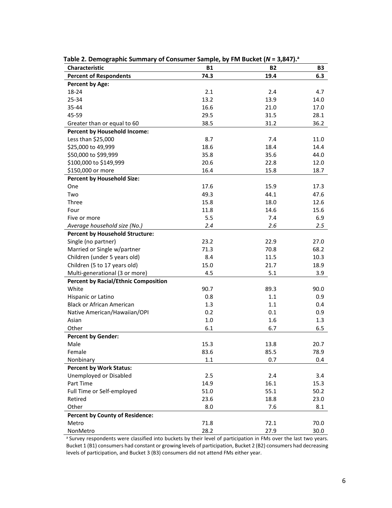| Characteristic                              | <b>B1</b> | <b>B2</b> | <b>B3</b> |
|---------------------------------------------|-----------|-----------|-----------|
| <b>Percent of Respondents</b>               | 74.3      | 19.4      | 6.3       |
| <b>Percent by Age:</b>                      |           |           |           |
| 18-24                                       | 2.1       | 2.4       | 4.7       |
| 25-34                                       | 13.2      | 13.9      | 14.0      |
| 35-44                                       | 16.6      | 21.0      | 17.0      |
| 45-59                                       | 29.5      | 31.5      | 28.1      |
| Greater than or equal to 60                 | 38.5      | 31.2      | 36.2      |
| <b>Percent by Household Income:</b>         |           |           |           |
| Less than \$25,000                          | 8.7       | 7.4       | 11.0      |
| \$25,000 to 49,999                          | 18.6      | 18.4      | 14.4      |
| \$50,000 to \$99,999                        | 35.8      | 35.6      | 44.0      |
| \$100,000 to \$149,999                      | 20.6      | 22.8      | 12.0      |
| \$150,000 or more                           | 16.4      | 15.8      | 18.7      |
| <b>Percent by Household Size:</b>           |           |           |           |
| One                                         | 17.6      | 15.9      | 17.3      |
| Two                                         | 49.3      | 44.1      | 47.6      |
| Three                                       | 15.8      | 18.0      | 12.6      |
| Four                                        | 11.8      | 14.6      | 15.6      |
| Five or more                                | 5.5       | 7.4       | 6.9       |
| Average household size (No.)                | 2.4       | 2.6       | 2.5       |
| <b>Percent by Household Structure:</b>      |           |           |           |
| Single (no partner)                         | 23.2      | 22.9      | 27.0      |
| Married or Single w/partner                 | 71.3      | 70.8      | 68.2      |
| Children (under 5 years old)                | 8.4       | 11.5      | 10.3      |
| Children (5 to 17 years old)                | 15.0      | 21.7      | 18.9      |
| Multi-generational (3 or more)              | 4.5       | 5.1       | 3.9       |
| <b>Percent by Racial/Ethnic Composition</b> |           |           |           |
| White                                       | 90.7      | 89.3      | 90.0      |
| Hispanic or Latino                          | 0.8       | 1.1       | 0.9       |
| <b>Black or African American</b>            | 1.3       | 1.1       | 0.4       |
| Native American/Hawaiian/OPI                | 0.2       | 0.1       | 0.9       |
| Asian                                       | $1.0\,$   | 1.6       | 1.3       |
| Other                                       | 6.1       | 6.7       | 6.5       |
| <b>Percent by Gender:</b>                   |           |           |           |
| Male                                        | 15.3      | 13.8      | 20.7      |
| Female                                      | 83.6      | 85.5      | 78.9      |
| Nonbinary                                   | 1.1       | 0.7       | 0.4       |
| <b>Percent by Work Status:</b>              |           |           |           |
| Unemployed or Disabled                      | 2.5       | 2.4       | 3.4       |
| Part Time                                   | 14.9      | 16.1      | 15.3      |
| Full Time or Self-employed                  | 51.0      | 55.1      | 50.2      |
| Retired                                     | 23.6      | 18.8      | 23.0      |
| Other                                       | 8.0       | 7.6       | 8.1       |
| <b>Percent by County of Residence:</b>      |           |           |           |
| Metro                                       | 71.8      | 72.1      | 70.0      |
| NonMetro                                    | 28.2      | 27.9      | 30.0      |

Table 2. Demographic Summary of Consumer Sample, by FM Bucket (*N* = 3,847).<sup>a</sup>

a Survey respondents were classified into buckets by their level of participation in FMs over the last two years. Bucket 1 (B1) consumers had constant or growing levels of participation, Bucket 2 (B2) consumers had decreasing levels of participation, and Bucket 3 (B3) consumers did not attend FMs either year.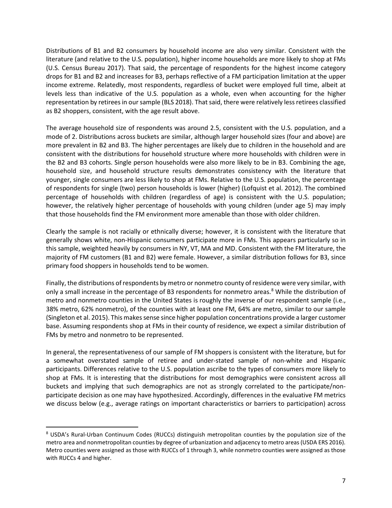Distributions of B1 and B2 consumers by household income are also very similar. Consistent with the literature (and relative to the U.S. population), higher income households are more likely to shop at FMs (U.S. Census Bureau 2017). That said, the percentage of respondents for the highest income category drops for B1 and B2 and increases for B3, perhaps reflective of a FM participation limitation at the upper income extreme. Relatedly, most respondents, regardless of bucket were employed full time, albeit at levels less than indicative of the U.S. population as a whole, even when accounting for the higher representation by retirees in oursample (BLS 2018). That said, there were relatively less retirees classified as B2 shoppers, consistent, with the age result above.

The average household size of respondents was around 2.5, consistent with the U.S. population, and a mode of 2. Distributions across buckets are similar, although larger household sizes (four and above) are more prevalent in B2 and B3. The higher percentages are likely due to children in the household and are consistent with the distributions for household structure where more households with children were in the B2 and B3 cohorts. Single person households were also more likely to be in B3. Combining the age, household size, and household structure results demonstrates consistency with the literature that younger, single consumers are less likely to shop at FMs. Relative to the U.S. population, the percentage of respondents for single (two) person households is lower (higher) (Lofquist et al. 2012). The combined percentage of households with children (regardless of age) is consistent with the U.S. population; however, the relatively higher percentage of households with young children (under age 5) may imply that those households find the FM environment more amenable than those with older children.

Clearly the sample is not racially or ethnically diverse; however, it is consistent with the literature that generally shows white, non-Hispanic consumers participate more in FMs. This appears particularly so in this sample, weighted heavily by consumers in NY, VT, MA and MD. Consistent with the FM literature, the majority of FM customers (B1 and B2) were female. However, a similar distribution follows for B3, since primary food shoppers in households tend to be women.

Finally, the distributions of respondents by metro or nonmetro county of residence were very similar, with only a small increase in the percentage of B3 respondents for nonmetro areas.<sup>[8](#page-10-0)</sup> While the distribution of metro and nonmetro counties in the United States is roughly the inverse of our respondent sample (i.e., 38% metro, 62% nonmetro), of the counties with at least one FM, 64% are metro, similar to our sample (Singleton et al. 2015). This makes sense since higher population concentrations provide a larger customer base. Assuming respondents shop at FMs in their county of residence, we expect a similar distribution of FMs by metro and nonmetro to be represented.

In general, the representativeness of our sample of FM shoppers is consistent with the literature, but for a somewhat overstated sample of retiree and under-stated sample of non-white and Hispanic participants. Differences relative to the U.S. population ascribe to the types of consumers more likely to shop at FMs. It is interesting that the distributions for most demographics were consistent across all buckets and implying that such demographics are not as strongly correlated to the participate/nonparticipate decision as one may have hypothesized. Accordingly, differences in the evaluative FM metrics we discuss below (e.g., average ratings on important characteristics or barriers to participation) across

<span id="page-10-0"></span> <sup>8</sup> USDA's Rural-Urban Continuum Codes (RUCCs) distinguish metropolitan counties by the population size of the metro area and nonmetropolitan counties by degree of urbanization and adjacency to metro areas(USDA ERS 2016). Metro counties were assigned as those with RUCCs of 1 through 3, while nonmetro counties were assigned as those with RUCCs 4 and higher.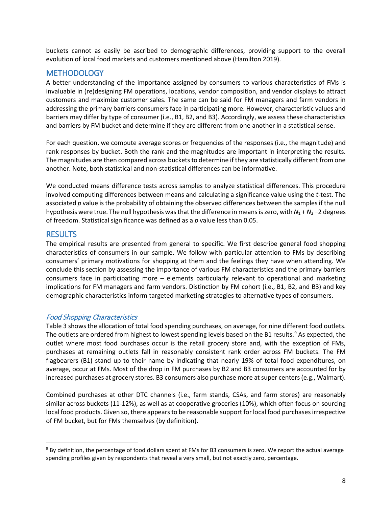buckets cannot as easily be ascribed to demographic differences, providing support to the overall evolution of local food markets and customers mentioned above (Hamilton 2019).

# <span id="page-11-0"></span>**METHODOLOGY**

A better understanding of the importance assigned by consumers to various characteristics of FMs is invaluable in (re)designing FM operations, locations, vendor composition, and vendor displays to attract customers and maximize customer sales. The same can be said for FM managers and farm vendors in addressing the primary barriers consumers face in participating more. However, characteristic values and barriers may differ by type of consumer (i.e., B1, B2, and B3). Accordingly, we assess these characteristics and barriers by FM bucket and determine if they are different from one another in a statistical sense.

For each question, we compute average scores or frequencies of the responses (i.e., the magnitude) and rank responses by bucket. Both the rank and the magnitudes are important in interpreting the results. The magnitudes are then compared across buckets to determine if they are statistically different from one another. Note, both statistical and non-statistical differences can be informative.

We conducted means difference tests across samples to analyze statistical differences. This procedure involved computing differences between means and calculating a significance value using the *t*-test. The associated *p* value is the probability of obtaining the observed differences between the samples if the null hypothesis were true. The null hypothesis was that the difference in means is zero, with *N*<sup>1</sup> + *N*<sup>2</sup> −2 degrees of freedom. Statistical significance was defined as a *p* value less than 0.05.

# <span id="page-11-1"></span>**RESULTS**

The empirical results are presented from general to specific. We first describe general food shopping characteristics of consumers in our sample. We follow with particular attention to FMs by describing consumers' primary motivations for shopping at them and the feelings they have when attending. We conclude this section by assessing the importance of various FM characteristics and the primary barriers consumers face in participating more – elements particularly relevant to operational and marketing implications for FM managers and farm vendors. Distinction by FM cohort (i.e., B1, B2, and B3) and key demographic characteristics inform targeted marketing strategies to alternative types of consumers.

## <span id="page-11-2"></span>Food Shopping Characteristics

Table 3 shows the allocation of total food spending purchases, on average, for nine different food outlets. The outlets are ordered from highest to lowest spending levels based on the B1 results.<sup>[9](#page-11-3)</sup> As expected, the outlet where most food purchases occur is the retail grocery store and, with the exception of FMs, purchases at remaining outlets fall in reasonably consistent rank order across FM buckets. The FM flagbearers (B1) stand up to their name by indicating that nearly 19% of total food expenditures, on average, occur at FMs. Most of the drop in FM purchases by B2 and B3 consumers are accounted for by increased purchases at grocery stores. B3 consumers also purchase more at super centers (e.g., Walmart).

Combined purchases at other DTC channels (i.e., farm stands, CSAs, and farm stores) are reasonably similar across buckets (11-12%), as well as at cooperative groceries (10%), which often focus on sourcing local food products. Given so, there appears to be reasonable support for local food purchases irrespective of FM bucket, but for FMs themselves (by definition).

<span id="page-11-3"></span><sup>&</sup>lt;sup>9</sup> By definition, the percentage of food dollars spent at FMs for B3 consumers is zero. We report the actual average spending profiles given by respondents that reveal a very small, but not exactly zero, percentage.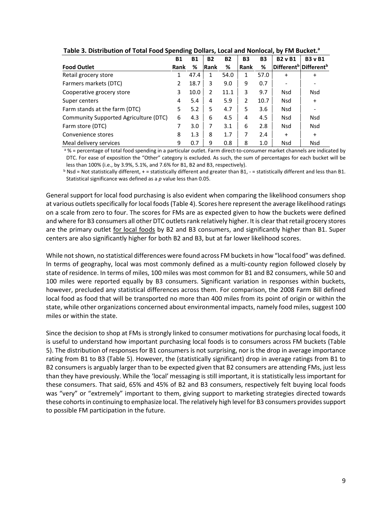|                                       | <b>B1</b>   | <b>B1</b> | <b>B2</b>   | <b>B2</b> | <b>B3</b> | B <sub>3</sub> | <b>B2</b> v B1 | <b>B3</b> v B1                                |
|---------------------------------------|-------------|-----------|-------------|-----------|-----------|----------------|----------------|-----------------------------------------------|
| <b>Food Outlet</b>                    | <b>Rank</b> | %         | <b>Rank</b> | %         | Rank      | %              |                | Different <sup>b</sup> Different <sup>b</sup> |
| Retail grocery store                  | 1           | 47.4      |             | 54.0      | 1         | 57.0           | $\ddot{}$      | $\ddot{}$                                     |
| Farmers markets (DTC)                 | 2           | 18.7      | 3           | 9.0       | 9         | 0.7            |                |                                               |
| Cooperative grocery store             | 3           | 10.0      | 2           | 11.1      | 3         | 9.7            | <b>Nsd</b>     | Nsd                                           |
| Super centers                         | 4           | 5.4       | 4           | 5.9       | 2         | 10.7           | <b>Nsd</b>     | $\ddot{}$                                     |
| Farm stands at the farm (DTC)         | 5           | 5.2       | 5           | 4.7       | 5         | 3.6            | <b>Nsd</b>     |                                               |
| Community Supported Agriculture (DTC) | 6           | 4.3       | 6           | 4.5       | 4         | 4.5            | Nsd            | Nsd                                           |
| Farm store (DTC)                      |             | 3.0       | 7           | 3.1       | 6         | 2.8            | <b>Nsd</b>     | <b>Nsd</b>                                    |
| Convenience stores                    | 8           | 1.3       | 8           | 1.7       | 7         | 2.4            | $\ddot{}$      | $\ddot{}$                                     |
| Meal delivery services                | 9           | 0.7       | 9           | 0.8       | 8         | 1.0            | <b>Nsd</b>     | <b>Nsd</b>                                    |

#### **Table 3. Distribution of Total Food Spending Dollars, Local and Nonlocal, by FM Bucket.a**

a % = percentage of total food spending in a particular outlet. Farm direct-to-consumer market channels are indicated by DTC. For ease of exposition the "Other" category is excluded. As such, the sum of percentages for each bucket will be less than 100% (i.e., by 3.9%, 5.1%, and 7.6% for B1, B2 and B3, respectively).

 $b$  Nsd = Not statistically different, + = statistically different and greater than B1, - = statistically different and less than B1. Statistical significance was defined as a *p* value less than 0.05.

General support for local food purchasing is also evident when comparing the likelihood consumers shop at various outlets specifically for local foods (Table 4). Scores here represent the average likelihood ratings on a scale from zero to four. The scores for FMs are as expected given to how the buckets were defined and where for B3 consumers all other DTC outlets rank relatively higher. It is clear that retail grocery stores are the primary outlet for local foods by B2 and B3 consumers, and significantly higher than B1. Super centers are also significantly higher for both B2 and B3, but at far lower likelihood scores.

While not shown, no statistical differences were found across FM buckets in how "local food" was defined. In terms of geography, local was most commonly defined as a multi-county region followed closely by state of residence. In terms of miles, 100 miles was most common for B1 and B2 consumers, while 50 and 100 miles were reported equally by B3 consumers. Significant variation in responses within buckets, however, precluded any statistical differences across them. For comparison, the 2008 Farm Bill defined local food as food that will be transported no more than 400 miles from its point of origin or within the state, while other organizations concerned about environmental impacts, namely food miles, suggest 100 miles or within the state.

Since the decision to shop at FMs is strongly linked to consumer motivations for purchasing local foods, it is useful to understand how important purchasing local foods is to consumers across FM buckets (Table 5). The distribution of responses for B1 consumers is not surprising, nor is the drop in average importance rating from B1 to B3 (Table 5). However, the (statistically significant) drop in average ratings from B1 to B2 consumers is arguably larger than to be expected given that B2 consumers are attending FMs, just less than they have previously. While the 'local' messaging is still important, it is statistically less important for these consumers. That said, 65% and 45% of B2 and B3 consumers, respectively felt buying local foods was "very" or "extremely" important to them, giving support to marketing strategies directed towards these cohorts in continuing to emphasize local. The relatively high level for B3 consumers provides support to possible FM participation in the future.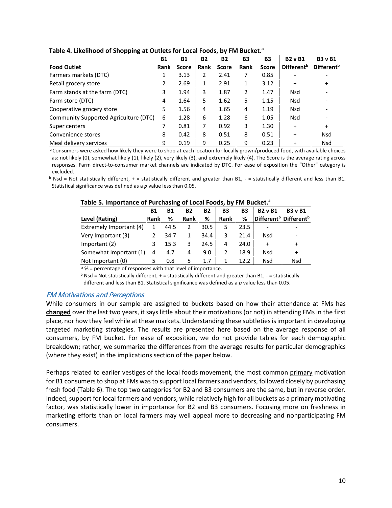| - r r 0                               |           |              |           |              |           |              |                        |                        |
|---------------------------------------|-----------|--------------|-----------|--------------|-----------|--------------|------------------------|------------------------|
|                                       | <b>B1</b> | <b>B1</b>    | <b>B2</b> | <b>B2</b>    | <b>B3</b> | <b>B3</b>    | <b>B2</b> v B1         | <b>B3</b> v B1         |
| <b>Food Outlet</b>                    | Rank      | <b>Score</b> | Rank      | <b>Score</b> | Rank      | <b>Score</b> | Different <sup>b</sup> | Different <sup>b</sup> |
| Farmers markets (DTC)                 |           | 3.13         | 2         | 2.41         | 7         | 0.85         |                        |                        |
| Retail grocery store                  | 2         | 2.69         | 1         | 2.91         | 1         | 3.12         | $\ddot{}$              | $\ddot{}$              |
| Farm stands at the farm (DTC)         | 3         | 1.94         | 3         | 1.87         | 2         | 1.47         | Nsd                    |                        |
| Farm store (DTC)                      | 4         | 1.64         | 5         | 1.62         | 5         | 1.15         | <b>Nsd</b>             |                        |
| Cooperative grocery store             | 5         | 1.56         | 4         | 1.65         | 4         | 1.19         | <b>Nsd</b>             |                        |
| Community Supported Agriculture (DTC) | 6         | 1.28         | 6         | 1.28         | 6         | 1.05         | <b>Nsd</b>             |                        |
| Super centers                         |           | 0.81         | 7         | 0.92         | 3         | 1.30         | $\ddot{}$              | $\ddot{}$              |
| Convenience stores                    | 8         | 0.42         | 8         | 0.51         | 8         | 0.51         | $\ddot{}$              | <b>Nsd</b>             |
| Meal delivery services                | 9         | 0.19         | 9         | 0.25         | 9         | 0.23         | $\ddot{}$              | <b>Nsd</b>             |

**Table 4. Likelihood of Shopping at Outlets for Local Foods, by FM Bucket.a**

a Consumers were asked how likely they were to shop at each location for locally grown/produced food, with available choices as: not likely (0), somewhat likely (1), likely (2), very likely (3), and extremely likely (4). The Score is the average rating across responses. Farm direct-to-consumer market channels are indicated by DTC. For ease of exposition the "Other" category is excluded.

 $b$  Nsd = Not statistically different, + = statistically different and greater than B1, - = statistically different and less than B1. Statistical significance was defined as a *p* value less than 0.05.

|                         | Β1   | Β1   | <b>B2</b> | <b>B2</b> | B3   | <b>B3</b> | <b>B2</b> v B1 | <b>B3</b> v B1                                |
|-------------------------|------|------|-----------|-----------|------|-----------|----------------|-----------------------------------------------|
| Level (Rating)          | Rank | %    | Rank      | %         | Rank | %         |                | Different <sup>b</sup> Different <sup>b</sup> |
| Extremely Important (4) |      | 44.5 |           | 30.5      |      | 23.5      |                |                                               |
| Very Important (3)      |      | 34.7 |           | 34.4      |      | 21.4      | Nsd            |                                               |
| Important (2)           |      | 15.3 | 3         | 24.5      | 4    | 24.0      | $\ddot{}$      | $\ddot{}$                                     |
| Somewhat Important (1)  | 4    | 4.7  | 4         | 9.0       |      | 18.9      | Nsd            |                                               |
| Not Important (0)       |      | 0.8  |           |           |      | 12.2      | Nsd            | Nsd                                           |

#### Table 5. Importance of Purchasing of Local Foods, by FM Bucket.<sup>a</sup>

 $a^3$  % = percentage of responses with that level of importance.

 $b$  Nsd = Not statistically different, + = statistically different and greater than B1, - = statistically different and less than B1. Statistical significance was defined as a *p* value less than 0.05.

#### <span id="page-13-0"></span>FM Motivations and Perceptions

While consumers in our sample are assigned to buckets based on how their attendance at FMs has **changed** over the last two years, it says little about their motivations (or not) in attending FMs in the first place, nor how they feel while at these markets. Understanding these subtleties is important in developing targeted marketing strategies. The results are presented here based on the average response of all consumers, by FM bucket. For ease of exposition, we do not provide tables for each demographic breakdown; rather, we summarize the differences from the average results for particular demographics (where they exist) in the implications section of the paper below.

Perhaps related to earlier vestiges of the local foods movement, the most common primary motivation for B1 consumers to shop at FMs was to support local farmers and vendors, followed closely by purchasing fresh food (Table 6). The top two categories for B2 and B3 consumers are the same, but in reverse order. Indeed, support for local farmers and vendors, while relatively high for all buckets as a primary motivating factor, was statistically lower in importance for B2 and B3 consumers. Focusing more on freshness in marketing efforts than on local farmers may well appeal more to decreasing and nonparticipating FM consumers.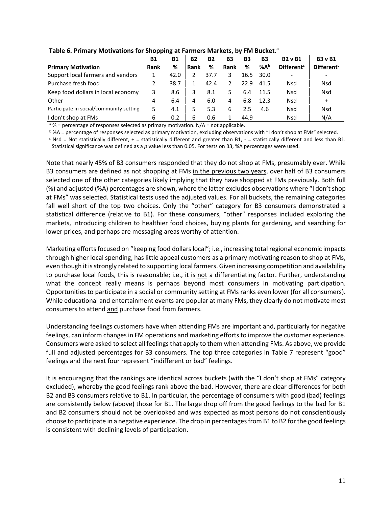|                                         | <b>B1</b>   | <b>B1</b> | <b>B2</b> | <b>B2</b> | <b>B3</b> | <b>B3</b> | <b>B3</b> | <b>B2</b> v B1               | <b>B3</b> v B1               |
|-----------------------------------------|-------------|-----------|-----------|-----------|-----------|-----------|-----------|------------------------------|------------------------------|
| <b>Primary Motivation</b>               | <b>Rank</b> | %         | Rank      | %         | Rank      | %         | %Ab       | <b>Different<sup>c</sup></b> | <b>Different<sup>c</sup></b> |
| Support local farmers and vendors       |             | 42.0      |           | 37.7      | 3         | 16.5      | 30.0      |                              |                              |
| Purchase fresh food                     |             | 38.7      |           | 42.4      | 2         | 22.9      | 41.5      | <b>Nsd</b>                   | Nsd                          |
| Keep food dollars in local economy      | 3           | 8.6       |           | 8.1       | 5.        | 6.4       | 11.5      | <b>Nsd</b>                   | <b>Nsd</b>                   |
| Other                                   | 4           | 6.4       | 4         | 6.0       | 4         | 6.8       | 12.3      | <b>Nsd</b>                   | $\ddot{}$                    |
| Participate in social/community setting | 5.          | 4.1       |           | 5.3       | 6         | 2.5       | 4.6       | <b>Nsd</b>                   | <b>Nsd</b>                   |
| I don't shop at FMs                     | 6           | 0.2       | 6         | 0.6       |           | 44.9      |           | Nsd                          | N/A                          |

#### **Table 6. Primary Motivations for Shopping at Farmers Markets, by FM Bucket.a**

 $a \, \%$  = percentage of responses selected as primary motivation. N/A = not applicable.

 $\frac{b}{c}$ %A = percentage of responses selected as primary motivation, excluding observations with "I don't shop at FMs" selected.<br>  $\frac{c}{c}$  Nsd = Not statistically different, + = statistically different and greater than

Statistical significance was defined as a *p* value less than 0.05. For tests on B3, %A percentages were used.

Note that nearly 45% of B3 consumers responded that they do not shop at FMs, presumably ever. While B3 consumers are defined as not shopping at FMs in the previous two years, over half of B3 consumers selected one of the other categories likely implying that they have shopped at FMs previously. Both full (%) and adjusted (%A) percentages are shown, where the latter excludes observations where "I don't shop at FMs" was selected. Statistical tests used the adjusted values. For all buckets, the remaining categories fall well short of the top two choices. Only the "other" category for B3 consumers demonstrated a statistical difference (relative to B1). For these consumers, "other" responses included exploring the markets, introducing children to healthier food choices, buying plants for gardening, and searching for lower prices, and perhaps are messaging areas worthy of attention.

Marketing efforts focused on "keeping food dollars local"; i.e., increasing total regional economic impacts through higher local spending, has little appeal customers as a primary motivating reason to shop at FMs, even though it is strongly related to supporting local farmers. Given increasing competition and availability to purchase local foods, this is reasonable; i.e., it is not a differentiating factor. Further, understanding what the concept really means is perhaps beyond most consumers in motivating participation. Opportunities to participate in a social or community setting at FMs ranks even lower (for all consumers). While educational and entertainment events are popular at many FMs, they clearly do not motivate most consumers to attend and purchase food from farmers.

Understanding feelings customers have when attending FMs are important and, particularly for negative feelings, can inform changes in FM operations and marketing efforts to improve the customer experience. Consumers were asked to select all feelings that apply to them when attending FMs. As above, we provide full and adjusted percentages for B3 consumers. The top three categories in Table 7 represent "good" feelings and the next four represent "indifferent or bad" feelings.

It is encouraging that the rankings are identical across buckets (with the "I don't shop at FMs" category excluded), whereby the good feelings rank above the bad. However, there are clear differences for both B2 and B3 consumers relative to B1. In particular, the percentage of consumers with good (bad) feelings are consistently below (above) those for B1. The large drop off from the good feelings to the bad for B1 and B2 consumers should not be overlooked and was expected as most persons do not conscientiously choose to participate in a negative experience. The drop in percentages from B1 to B2 for the good feelings is consistent with declining levels of participation.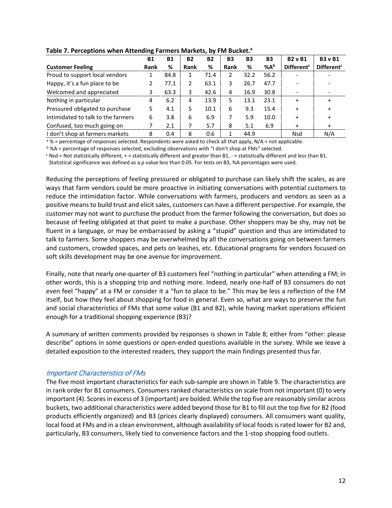|                                    | <b>B1</b>   | <b>B1</b> | <b>B2</b>     | <b>B2</b> | <b>B3</b> | <b>B3</b> | <b>B3</b> | <b>B2</b> v B1               | <b>B3</b> v B1               |
|------------------------------------|-------------|-----------|---------------|-----------|-----------|-----------|-----------|------------------------------|------------------------------|
| <b>Customer Feeling</b>            | <b>Rank</b> | %         | Rank          | %         | Rank      | %         | %Ab       | <b>Different<sup>c</sup></b> | <b>Different<sup>c</sup></b> |
| Proud to support local vendors     |             | 84.8      |               | 71.4      | 2         | 32.2      | 56.2      |                              |                              |
| Happy, it's a fun place to be      |             | 77.1      | $\mathcal{P}$ | 63.1      | 3         | 26.7      | 47.7      |                              |                              |
| Welcomed and appreciated           | 3           | 63.3      | 3             | 42.6      | 4         | 16.9      | 30.8      | $\overline{\phantom{a}}$     |                              |
| Nothing in particular              | 4           | 6.2       | 4             | 13.9      | 5.        | 13.1      | 23.1      | $\ddot{}$                    |                              |
| Pressured obligated to purchase    | 5.          | 4.1       | 5.            | 10.1      | 6         | 9.3       | 15.4      | $\ddot{}$                    | $\ddot{}$                    |
| Intimidated to talk to the farmers | 6           | 3.8       | 6             | 6.9       |           | 5.9       | 10.0      | $\ddot{}$                    | $\ddot{}$                    |
| Confused, too much going on        |             | 2.1       |               | 5.7       | 8         | 5.1       | 6.9       | $\ddot{}$                    | $\ddot{}$                    |
| I don't shop at farmers markets    | 8           | 0.4       | 8             | 0.6       |           | 44.9      |           | <b>Nsd</b>                   | N/A                          |

**Table 7. Perceptions when Attending Farmers Markets, by FM Bucket.**<sup>a</sup>

<sup>a</sup> % = percentage of responses selected. Respondents were asked to check all that apply, N/A = not applicable.

b %A = percentage of responses selected, excluding observations with "I don't shop at FMs" selected.

 $c$  Nsd = Not statistically different, + = statistically different and greater than B1, - = statistically different and less than B1.

Statistical significance was defined as a *p* value less than 0.05. For tests on B3, %A percentages were used.

Reducing the perceptions of feeling pressured or obligated to purchase can likely shift the scales, as are ways that farm vendors could be more proactive in initiating conversations with potential customers to reduce the intimidation factor. While conversations with farmers, producers and vendors as seen as a positive means to build trust and elicit sales, customers can have a different perspective. For example, the customer may not want to purchase the product from the farmer following the conversation, but does so because of feeling obligated at that point to make a purchase. Other shoppers may be shy, may not be fluent in a language, or may be embarrassed by asking a "stupid" question and thus are intimidated to talk to farmers. Some shoppers may be overwhelmed by all the conversations going on between farmers and customers, crowded spaces, and pets on leashes, etc. Educational programs for vendors focused on soft skills development may be one avenue for improvement.

Finally, note that nearly one-quarter of B3 customers feel "nothing in particular" when attending a FM; in other words, this is a shopping trip and nothing more. Indeed, nearly one-half of B3 consumers do not even feel "happy" at a FM or consider it a "fun to place to be." This may be less a reflection of the FM itself, but how they feel about shopping for food in general. Even so, what are ways to preserve the fun and social characteristics of FMs that some value (B1 and B2), while having market operations efficient enough for a traditional shopping experience (B3)?

A summary of written comments provided by responses is shown in Table 8; either from "other: please describe" options in some questions or open-ended questions available in the survey. While we leave a detailed exposition to the interested readers, they support the main findings presented thus far.

#### <span id="page-15-0"></span>Important Characteristics of FMs

The five most important characteristics for each sub-sample are shown in Table 9. The characteristics are in rank order for B1 consumers. Consumers ranked characteristics on scale from not important (0) to very important (4). Scores in excess of 3 (important) are bolded. While the top five are reasonably similar across buckets, two additional characteristics were added beyond those for B1 to fill out the top five for B2 (food products efficiently organized) and B3 (prices clearly displayed) consumers. All consumers want quality, local food at FMs and in a clean environment, although availability of local foods is rated lower for B2 and, particularly, B3 consumers, likely tied to convenience factors and the 1-stop shopping food outlets.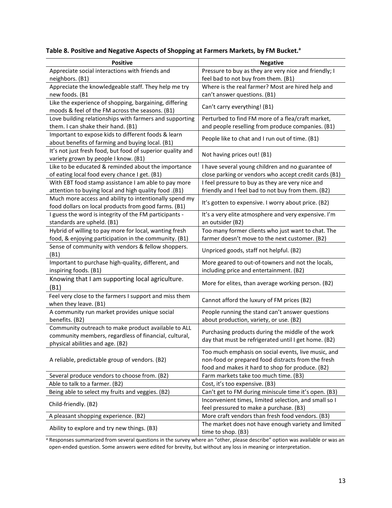### Table 8. Positive and Negative Aspects of Shopping at Farmers Markets, by FM Bucket.<sup>a</sup>

| Appreciate social interactions with friends and<br>Pressure to buy as they are very nice and friendly; I<br>feel bad to not buy from them. (B1)<br>neighbors. (B1)<br>Appreciate the knowledgeable staff. They help me try<br>Where is the real farmer? Most are hired help and<br>new foods. (B1<br>can't answer questions. (B1)<br>Like the experience of shopping, bargaining, differing<br>Can't carry everything! (B1)<br>moods & feel of the FM across the seasons. (B1)<br>Love building relationships with farmers and supporting<br>Perturbed to find FM more of a flea/craft market,<br>them. I can shake their hand. (B1)<br>and people reselling from produce companies. (B1)<br>Important to expose kids to different foods & learn<br>People like to chat and I run out of time. (B1)<br>about benefits of farming and buying local. (B1)<br>It's not just fresh food, but food of superior quality and<br>Not having prices out! (B1)<br>variety grown by people I know. (B1)<br>Like to be educated & reminded about the importance<br>I have several young children and no guarantee of<br>of eating local food every chance I get. (B1)<br>close parking or vendors who accept credit cards (B1)<br>With EBT food stamp assistance I am able to pay more<br>I feel pressure to buy as they are very nice and<br>attention to buying local and high quality food .(B1)<br>friendly and I feel bad to not buy from them. (B2)<br>Much more access and ability to intentionally spend my<br>It's gotten to expensive. I worry about price. (B2)<br>food dollars on local products from good farms. (B1)<br>I guess the word is integrity of the FM participants -<br>It's a very elite atmosphere and very expensive. I'm<br>standards are upheld. (B1)<br>an outsider (B2)<br>Hybrid of willing to pay more for local, wanting fresh<br>Too many former clients who just want to chat. The<br>farmer doesn't move to the next customer. (B2)<br>food, & enjoying participation in the community. (B1)<br>Sense of community with vendors & fellow shoppers.<br>Unpriced goods, staff not helpful. (B2)<br>(B1)<br>More geared to out-of-towners and not the locals,<br>Important to purchase high-quality, different, and<br>inspiring foods. (B1)<br>including price and entertainment. (B2)<br>Knowing that I am supporting local agriculture.<br>More for elites, than average working person. (B2)<br>(B1)<br>Feel very close to the farmers I support and miss them<br>Cannot afford the luxury of FM prices (B2)<br>when they leave. (B1)<br>People running the stand can't answer questions<br>A community run market provides unique social<br>benefits. (B2)<br>about production, variety, or use. (B2)<br>Community outreach to make product available to ALL<br>Purchasing products during the middle of the work<br>community members, regardless of financial, cultural,<br>day that must be refrigerated until I get home. (B2)<br>physical abilities and age. (B2)<br>Too much emphasis on social events, live music, and<br>A reliable, predictable group of vendors. (B2)<br>non-food or prepared food distracts from the fresh<br>food and makes it hard to shop for produce. (B2)<br>Several produce vendors to choose from. (B2)<br>Farm markets take too much time. (B3)<br>Able to talk to a farmer. (B2)<br>Cost, it's too expensive. (B3)<br>Being able to select my fruits and veggies. (B2)<br>Can't get to FM during miniscule time it's open. (B3) | <b>Positive</b> | <b>Negative</b>                                       |
|------------------------------------------------------------------------------------------------------------------------------------------------------------------------------------------------------------------------------------------------------------------------------------------------------------------------------------------------------------------------------------------------------------------------------------------------------------------------------------------------------------------------------------------------------------------------------------------------------------------------------------------------------------------------------------------------------------------------------------------------------------------------------------------------------------------------------------------------------------------------------------------------------------------------------------------------------------------------------------------------------------------------------------------------------------------------------------------------------------------------------------------------------------------------------------------------------------------------------------------------------------------------------------------------------------------------------------------------------------------------------------------------------------------------------------------------------------------------------------------------------------------------------------------------------------------------------------------------------------------------------------------------------------------------------------------------------------------------------------------------------------------------------------------------------------------------------------------------------------------------------------------------------------------------------------------------------------------------------------------------------------------------------------------------------------------------------------------------------------------------------------------------------------------------------------------------------------------------------------------------------------------------------------------------------------------------------------------------------------------------------------------------------------------------------------------------------------------------------------------------------------------------------------------------------------------------------------------------------------------------------------------------------------------------------------------------------------------------------------------------------------------------------------------------------------------------------------------------------------------------------------------------------------------------------------------------------------------------------------------------------------------------------------------------------------------------------------------------------------------------------------------------------------------------------------------------------------------------------------------------------------------------------------------------------------------------------------------------------------------------------------------------------------------------------------------------------------------------------------------------|-----------------|-------------------------------------------------------|
|                                                                                                                                                                                                                                                                                                                                                                                                                                                                                                                                                                                                                                                                                                                                                                                                                                                                                                                                                                                                                                                                                                                                                                                                                                                                                                                                                                                                                                                                                                                                                                                                                                                                                                                                                                                                                                                                                                                                                                                                                                                                                                                                                                                                                                                                                                                                                                                                                                                                                                                                                                                                                                                                                                                                                                                                                                                                                                                                                                                                                                                                                                                                                                                                                                                                                                                                                                                                                                                                                                |                 |                                                       |
|                                                                                                                                                                                                                                                                                                                                                                                                                                                                                                                                                                                                                                                                                                                                                                                                                                                                                                                                                                                                                                                                                                                                                                                                                                                                                                                                                                                                                                                                                                                                                                                                                                                                                                                                                                                                                                                                                                                                                                                                                                                                                                                                                                                                                                                                                                                                                                                                                                                                                                                                                                                                                                                                                                                                                                                                                                                                                                                                                                                                                                                                                                                                                                                                                                                                                                                                                                                                                                                                                                |                 |                                                       |
|                                                                                                                                                                                                                                                                                                                                                                                                                                                                                                                                                                                                                                                                                                                                                                                                                                                                                                                                                                                                                                                                                                                                                                                                                                                                                                                                                                                                                                                                                                                                                                                                                                                                                                                                                                                                                                                                                                                                                                                                                                                                                                                                                                                                                                                                                                                                                                                                                                                                                                                                                                                                                                                                                                                                                                                                                                                                                                                                                                                                                                                                                                                                                                                                                                                                                                                                                                                                                                                                                                |                 |                                                       |
|                                                                                                                                                                                                                                                                                                                                                                                                                                                                                                                                                                                                                                                                                                                                                                                                                                                                                                                                                                                                                                                                                                                                                                                                                                                                                                                                                                                                                                                                                                                                                                                                                                                                                                                                                                                                                                                                                                                                                                                                                                                                                                                                                                                                                                                                                                                                                                                                                                                                                                                                                                                                                                                                                                                                                                                                                                                                                                                                                                                                                                                                                                                                                                                                                                                                                                                                                                                                                                                                                                |                 |                                                       |
|                                                                                                                                                                                                                                                                                                                                                                                                                                                                                                                                                                                                                                                                                                                                                                                                                                                                                                                                                                                                                                                                                                                                                                                                                                                                                                                                                                                                                                                                                                                                                                                                                                                                                                                                                                                                                                                                                                                                                                                                                                                                                                                                                                                                                                                                                                                                                                                                                                                                                                                                                                                                                                                                                                                                                                                                                                                                                                                                                                                                                                                                                                                                                                                                                                                                                                                                                                                                                                                                                                |                 |                                                       |
|                                                                                                                                                                                                                                                                                                                                                                                                                                                                                                                                                                                                                                                                                                                                                                                                                                                                                                                                                                                                                                                                                                                                                                                                                                                                                                                                                                                                                                                                                                                                                                                                                                                                                                                                                                                                                                                                                                                                                                                                                                                                                                                                                                                                                                                                                                                                                                                                                                                                                                                                                                                                                                                                                                                                                                                                                                                                                                                                                                                                                                                                                                                                                                                                                                                                                                                                                                                                                                                                                                |                 |                                                       |
|                                                                                                                                                                                                                                                                                                                                                                                                                                                                                                                                                                                                                                                                                                                                                                                                                                                                                                                                                                                                                                                                                                                                                                                                                                                                                                                                                                                                                                                                                                                                                                                                                                                                                                                                                                                                                                                                                                                                                                                                                                                                                                                                                                                                                                                                                                                                                                                                                                                                                                                                                                                                                                                                                                                                                                                                                                                                                                                                                                                                                                                                                                                                                                                                                                                                                                                                                                                                                                                                                                |                 |                                                       |
|                                                                                                                                                                                                                                                                                                                                                                                                                                                                                                                                                                                                                                                                                                                                                                                                                                                                                                                                                                                                                                                                                                                                                                                                                                                                                                                                                                                                                                                                                                                                                                                                                                                                                                                                                                                                                                                                                                                                                                                                                                                                                                                                                                                                                                                                                                                                                                                                                                                                                                                                                                                                                                                                                                                                                                                                                                                                                                                                                                                                                                                                                                                                                                                                                                                                                                                                                                                                                                                                                                |                 |                                                       |
|                                                                                                                                                                                                                                                                                                                                                                                                                                                                                                                                                                                                                                                                                                                                                                                                                                                                                                                                                                                                                                                                                                                                                                                                                                                                                                                                                                                                                                                                                                                                                                                                                                                                                                                                                                                                                                                                                                                                                                                                                                                                                                                                                                                                                                                                                                                                                                                                                                                                                                                                                                                                                                                                                                                                                                                                                                                                                                                                                                                                                                                                                                                                                                                                                                                                                                                                                                                                                                                                                                |                 |                                                       |
|                                                                                                                                                                                                                                                                                                                                                                                                                                                                                                                                                                                                                                                                                                                                                                                                                                                                                                                                                                                                                                                                                                                                                                                                                                                                                                                                                                                                                                                                                                                                                                                                                                                                                                                                                                                                                                                                                                                                                                                                                                                                                                                                                                                                                                                                                                                                                                                                                                                                                                                                                                                                                                                                                                                                                                                                                                                                                                                                                                                                                                                                                                                                                                                                                                                                                                                                                                                                                                                                                                |                 |                                                       |
|                                                                                                                                                                                                                                                                                                                                                                                                                                                                                                                                                                                                                                                                                                                                                                                                                                                                                                                                                                                                                                                                                                                                                                                                                                                                                                                                                                                                                                                                                                                                                                                                                                                                                                                                                                                                                                                                                                                                                                                                                                                                                                                                                                                                                                                                                                                                                                                                                                                                                                                                                                                                                                                                                                                                                                                                                                                                                                                                                                                                                                                                                                                                                                                                                                                                                                                                                                                                                                                                                                |                 |                                                       |
|                                                                                                                                                                                                                                                                                                                                                                                                                                                                                                                                                                                                                                                                                                                                                                                                                                                                                                                                                                                                                                                                                                                                                                                                                                                                                                                                                                                                                                                                                                                                                                                                                                                                                                                                                                                                                                                                                                                                                                                                                                                                                                                                                                                                                                                                                                                                                                                                                                                                                                                                                                                                                                                                                                                                                                                                                                                                                                                                                                                                                                                                                                                                                                                                                                                                                                                                                                                                                                                                                                |                 |                                                       |
|                                                                                                                                                                                                                                                                                                                                                                                                                                                                                                                                                                                                                                                                                                                                                                                                                                                                                                                                                                                                                                                                                                                                                                                                                                                                                                                                                                                                                                                                                                                                                                                                                                                                                                                                                                                                                                                                                                                                                                                                                                                                                                                                                                                                                                                                                                                                                                                                                                                                                                                                                                                                                                                                                                                                                                                                                                                                                                                                                                                                                                                                                                                                                                                                                                                                                                                                                                                                                                                                                                |                 |                                                       |
|                                                                                                                                                                                                                                                                                                                                                                                                                                                                                                                                                                                                                                                                                                                                                                                                                                                                                                                                                                                                                                                                                                                                                                                                                                                                                                                                                                                                                                                                                                                                                                                                                                                                                                                                                                                                                                                                                                                                                                                                                                                                                                                                                                                                                                                                                                                                                                                                                                                                                                                                                                                                                                                                                                                                                                                                                                                                                                                                                                                                                                                                                                                                                                                                                                                                                                                                                                                                                                                                                                |                 |                                                       |
|                                                                                                                                                                                                                                                                                                                                                                                                                                                                                                                                                                                                                                                                                                                                                                                                                                                                                                                                                                                                                                                                                                                                                                                                                                                                                                                                                                                                                                                                                                                                                                                                                                                                                                                                                                                                                                                                                                                                                                                                                                                                                                                                                                                                                                                                                                                                                                                                                                                                                                                                                                                                                                                                                                                                                                                                                                                                                                                                                                                                                                                                                                                                                                                                                                                                                                                                                                                                                                                                                                |                 |                                                       |
|                                                                                                                                                                                                                                                                                                                                                                                                                                                                                                                                                                                                                                                                                                                                                                                                                                                                                                                                                                                                                                                                                                                                                                                                                                                                                                                                                                                                                                                                                                                                                                                                                                                                                                                                                                                                                                                                                                                                                                                                                                                                                                                                                                                                                                                                                                                                                                                                                                                                                                                                                                                                                                                                                                                                                                                                                                                                                                                                                                                                                                                                                                                                                                                                                                                                                                                                                                                                                                                                                                |                 |                                                       |
|                                                                                                                                                                                                                                                                                                                                                                                                                                                                                                                                                                                                                                                                                                                                                                                                                                                                                                                                                                                                                                                                                                                                                                                                                                                                                                                                                                                                                                                                                                                                                                                                                                                                                                                                                                                                                                                                                                                                                                                                                                                                                                                                                                                                                                                                                                                                                                                                                                                                                                                                                                                                                                                                                                                                                                                                                                                                                                                                                                                                                                                                                                                                                                                                                                                                                                                                                                                                                                                                                                |                 |                                                       |
|                                                                                                                                                                                                                                                                                                                                                                                                                                                                                                                                                                                                                                                                                                                                                                                                                                                                                                                                                                                                                                                                                                                                                                                                                                                                                                                                                                                                                                                                                                                                                                                                                                                                                                                                                                                                                                                                                                                                                                                                                                                                                                                                                                                                                                                                                                                                                                                                                                                                                                                                                                                                                                                                                                                                                                                                                                                                                                                                                                                                                                                                                                                                                                                                                                                                                                                                                                                                                                                                                                |                 |                                                       |
|                                                                                                                                                                                                                                                                                                                                                                                                                                                                                                                                                                                                                                                                                                                                                                                                                                                                                                                                                                                                                                                                                                                                                                                                                                                                                                                                                                                                                                                                                                                                                                                                                                                                                                                                                                                                                                                                                                                                                                                                                                                                                                                                                                                                                                                                                                                                                                                                                                                                                                                                                                                                                                                                                                                                                                                                                                                                                                                                                                                                                                                                                                                                                                                                                                                                                                                                                                                                                                                                                                |                 |                                                       |
|                                                                                                                                                                                                                                                                                                                                                                                                                                                                                                                                                                                                                                                                                                                                                                                                                                                                                                                                                                                                                                                                                                                                                                                                                                                                                                                                                                                                                                                                                                                                                                                                                                                                                                                                                                                                                                                                                                                                                                                                                                                                                                                                                                                                                                                                                                                                                                                                                                                                                                                                                                                                                                                                                                                                                                                                                                                                                                                                                                                                                                                                                                                                                                                                                                                                                                                                                                                                                                                                                                |                 |                                                       |
|                                                                                                                                                                                                                                                                                                                                                                                                                                                                                                                                                                                                                                                                                                                                                                                                                                                                                                                                                                                                                                                                                                                                                                                                                                                                                                                                                                                                                                                                                                                                                                                                                                                                                                                                                                                                                                                                                                                                                                                                                                                                                                                                                                                                                                                                                                                                                                                                                                                                                                                                                                                                                                                                                                                                                                                                                                                                                                                                                                                                                                                                                                                                                                                                                                                                                                                                                                                                                                                                                                |                 |                                                       |
|                                                                                                                                                                                                                                                                                                                                                                                                                                                                                                                                                                                                                                                                                                                                                                                                                                                                                                                                                                                                                                                                                                                                                                                                                                                                                                                                                                                                                                                                                                                                                                                                                                                                                                                                                                                                                                                                                                                                                                                                                                                                                                                                                                                                                                                                                                                                                                                                                                                                                                                                                                                                                                                                                                                                                                                                                                                                                                                                                                                                                                                                                                                                                                                                                                                                                                                                                                                                                                                                                                |                 |                                                       |
|                                                                                                                                                                                                                                                                                                                                                                                                                                                                                                                                                                                                                                                                                                                                                                                                                                                                                                                                                                                                                                                                                                                                                                                                                                                                                                                                                                                                                                                                                                                                                                                                                                                                                                                                                                                                                                                                                                                                                                                                                                                                                                                                                                                                                                                                                                                                                                                                                                                                                                                                                                                                                                                                                                                                                                                                                                                                                                                                                                                                                                                                                                                                                                                                                                                                                                                                                                                                                                                                                                |                 |                                                       |
|                                                                                                                                                                                                                                                                                                                                                                                                                                                                                                                                                                                                                                                                                                                                                                                                                                                                                                                                                                                                                                                                                                                                                                                                                                                                                                                                                                                                                                                                                                                                                                                                                                                                                                                                                                                                                                                                                                                                                                                                                                                                                                                                                                                                                                                                                                                                                                                                                                                                                                                                                                                                                                                                                                                                                                                                                                                                                                                                                                                                                                                                                                                                                                                                                                                                                                                                                                                                                                                                                                |                 |                                                       |
|                                                                                                                                                                                                                                                                                                                                                                                                                                                                                                                                                                                                                                                                                                                                                                                                                                                                                                                                                                                                                                                                                                                                                                                                                                                                                                                                                                                                                                                                                                                                                                                                                                                                                                                                                                                                                                                                                                                                                                                                                                                                                                                                                                                                                                                                                                                                                                                                                                                                                                                                                                                                                                                                                                                                                                                                                                                                                                                                                                                                                                                                                                                                                                                                                                                                                                                                                                                                                                                                                                |                 |                                                       |
|                                                                                                                                                                                                                                                                                                                                                                                                                                                                                                                                                                                                                                                                                                                                                                                                                                                                                                                                                                                                                                                                                                                                                                                                                                                                                                                                                                                                                                                                                                                                                                                                                                                                                                                                                                                                                                                                                                                                                                                                                                                                                                                                                                                                                                                                                                                                                                                                                                                                                                                                                                                                                                                                                                                                                                                                                                                                                                                                                                                                                                                                                                                                                                                                                                                                                                                                                                                                                                                                                                |                 |                                                       |
|                                                                                                                                                                                                                                                                                                                                                                                                                                                                                                                                                                                                                                                                                                                                                                                                                                                                                                                                                                                                                                                                                                                                                                                                                                                                                                                                                                                                                                                                                                                                                                                                                                                                                                                                                                                                                                                                                                                                                                                                                                                                                                                                                                                                                                                                                                                                                                                                                                                                                                                                                                                                                                                                                                                                                                                                                                                                                                                                                                                                                                                                                                                                                                                                                                                                                                                                                                                                                                                                                                |                 |                                                       |
|                                                                                                                                                                                                                                                                                                                                                                                                                                                                                                                                                                                                                                                                                                                                                                                                                                                                                                                                                                                                                                                                                                                                                                                                                                                                                                                                                                                                                                                                                                                                                                                                                                                                                                                                                                                                                                                                                                                                                                                                                                                                                                                                                                                                                                                                                                                                                                                                                                                                                                                                                                                                                                                                                                                                                                                                                                                                                                                                                                                                                                                                                                                                                                                                                                                                                                                                                                                                                                                                                                |                 |                                                       |
|                                                                                                                                                                                                                                                                                                                                                                                                                                                                                                                                                                                                                                                                                                                                                                                                                                                                                                                                                                                                                                                                                                                                                                                                                                                                                                                                                                                                                                                                                                                                                                                                                                                                                                                                                                                                                                                                                                                                                                                                                                                                                                                                                                                                                                                                                                                                                                                                                                                                                                                                                                                                                                                                                                                                                                                                                                                                                                                                                                                                                                                                                                                                                                                                                                                                                                                                                                                                                                                                                                |                 |                                                       |
|                                                                                                                                                                                                                                                                                                                                                                                                                                                                                                                                                                                                                                                                                                                                                                                                                                                                                                                                                                                                                                                                                                                                                                                                                                                                                                                                                                                                                                                                                                                                                                                                                                                                                                                                                                                                                                                                                                                                                                                                                                                                                                                                                                                                                                                                                                                                                                                                                                                                                                                                                                                                                                                                                                                                                                                                                                                                                                                                                                                                                                                                                                                                                                                                                                                                                                                                                                                                                                                                                                |                 |                                                       |
|                                                                                                                                                                                                                                                                                                                                                                                                                                                                                                                                                                                                                                                                                                                                                                                                                                                                                                                                                                                                                                                                                                                                                                                                                                                                                                                                                                                                                                                                                                                                                                                                                                                                                                                                                                                                                                                                                                                                                                                                                                                                                                                                                                                                                                                                                                                                                                                                                                                                                                                                                                                                                                                                                                                                                                                                                                                                                                                                                                                                                                                                                                                                                                                                                                                                                                                                                                                                                                                                                                |                 |                                                       |
|                                                                                                                                                                                                                                                                                                                                                                                                                                                                                                                                                                                                                                                                                                                                                                                                                                                                                                                                                                                                                                                                                                                                                                                                                                                                                                                                                                                                                                                                                                                                                                                                                                                                                                                                                                                                                                                                                                                                                                                                                                                                                                                                                                                                                                                                                                                                                                                                                                                                                                                                                                                                                                                                                                                                                                                                                                                                                                                                                                                                                                                                                                                                                                                                                                                                                                                                                                                                                                                                                                |                 |                                                       |
|                                                                                                                                                                                                                                                                                                                                                                                                                                                                                                                                                                                                                                                                                                                                                                                                                                                                                                                                                                                                                                                                                                                                                                                                                                                                                                                                                                                                                                                                                                                                                                                                                                                                                                                                                                                                                                                                                                                                                                                                                                                                                                                                                                                                                                                                                                                                                                                                                                                                                                                                                                                                                                                                                                                                                                                                                                                                                                                                                                                                                                                                                                                                                                                                                                                                                                                                                                                                                                                                                                |                 |                                                       |
|                                                                                                                                                                                                                                                                                                                                                                                                                                                                                                                                                                                                                                                                                                                                                                                                                                                                                                                                                                                                                                                                                                                                                                                                                                                                                                                                                                                                                                                                                                                                                                                                                                                                                                                                                                                                                                                                                                                                                                                                                                                                                                                                                                                                                                                                                                                                                                                                                                                                                                                                                                                                                                                                                                                                                                                                                                                                                                                                                                                                                                                                                                                                                                                                                                                                                                                                                                                                                                                                                                |                 |                                                       |
|                                                                                                                                                                                                                                                                                                                                                                                                                                                                                                                                                                                                                                                                                                                                                                                                                                                                                                                                                                                                                                                                                                                                                                                                                                                                                                                                                                                                                                                                                                                                                                                                                                                                                                                                                                                                                                                                                                                                                                                                                                                                                                                                                                                                                                                                                                                                                                                                                                                                                                                                                                                                                                                                                                                                                                                                                                                                                                                                                                                                                                                                                                                                                                                                                                                                                                                                                                                                                                                                                                |                 |                                                       |
|                                                                                                                                                                                                                                                                                                                                                                                                                                                                                                                                                                                                                                                                                                                                                                                                                                                                                                                                                                                                                                                                                                                                                                                                                                                                                                                                                                                                                                                                                                                                                                                                                                                                                                                                                                                                                                                                                                                                                                                                                                                                                                                                                                                                                                                                                                                                                                                                                                                                                                                                                                                                                                                                                                                                                                                                                                                                                                                                                                                                                                                                                                                                                                                                                                                                                                                                                                                                                                                                                                |                 |                                                       |
|                                                                                                                                                                                                                                                                                                                                                                                                                                                                                                                                                                                                                                                                                                                                                                                                                                                                                                                                                                                                                                                                                                                                                                                                                                                                                                                                                                                                                                                                                                                                                                                                                                                                                                                                                                                                                                                                                                                                                                                                                                                                                                                                                                                                                                                                                                                                                                                                                                                                                                                                                                                                                                                                                                                                                                                                                                                                                                                                                                                                                                                                                                                                                                                                                                                                                                                                                                                                                                                                                                |                 |                                                       |
|                                                                                                                                                                                                                                                                                                                                                                                                                                                                                                                                                                                                                                                                                                                                                                                                                                                                                                                                                                                                                                                                                                                                                                                                                                                                                                                                                                                                                                                                                                                                                                                                                                                                                                                                                                                                                                                                                                                                                                                                                                                                                                                                                                                                                                                                                                                                                                                                                                                                                                                                                                                                                                                                                                                                                                                                                                                                                                                                                                                                                                                                                                                                                                                                                                                                                                                                                                                                                                                                                                |                 |                                                       |
| Child-friendly. (B2)                                                                                                                                                                                                                                                                                                                                                                                                                                                                                                                                                                                                                                                                                                                                                                                                                                                                                                                                                                                                                                                                                                                                                                                                                                                                                                                                                                                                                                                                                                                                                                                                                                                                                                                                                                                                                                                                                                                                                                                                                                                                                                                                                                                                                                                                                                                                                                                                                                                                                                                                                                                                                                                                                                                                                                                                                                                                                                                                                                                                                                                                                                                                                                                                                                                                                                                                                                                                                                                                           |                 | Inconvenient times, limited selection, and small so I |
| feel pressured to make a purchase. (B3)                                                                                                                                                                                                                                                                                                                                                                                                                                                                                                                                                                                                                                                                                                                                                                                                                                                                                                                                                                                                                                                                                                                                                                                                                                                                                                                                                                                                                                                                                                                                                                                                                                                                                                                                                                                                                                                                                                                                                                                                                                                                                                                                                                                                                                                                                                                                                                                                                                                                                                                                                                                                                                                                                                                                                                                                                                                                                                                                                                                                                                                                                                                                                                                                                                                                                                                                                                                                                                                        |                 |                                                       |
| More craft vendors than fresh food vendors. (B3)<br>A pleasant shopping experience. (B2)                                                                                                                                                                                                                                                                                                                                                                                                                                                                                                                                                                                                                                                                                                                                                                                                                                                                                                                                                                                                                                                                                                                                                                                                                                                                                                                                                                                                                                                                                                                                                                                                                                                                                                                                                                                                                                                                                                                                                                                                                                                                                                                                                                                                                                                                                                                                                                                                                                                                                                                                                                                                                                                                                                                                                                                                                                                                                                                                                                                                                                                                                                                                                                                                                                                                                                                                                                                                       |                 |                                                       |
| The market does not have enough variety and limited<br>Ability to explore and try new things. (B3)<br>time to shop. (B3)                                                                                                                                                                                                                                                                                                                                                                                                                                                                                                                                                                                                                                                                                                                                                                                                                                                                                                                                                                                                                                                                                                                                                                                                                                                                                                                                                                                                                                                                                                                                                                                                                                                                                                                                                                                                                                                                                                                                                                                                                                                                                                                                                                                                                                                                                                                                                                                                                                                                                                                                                                                                                                                                                                                                                                                                                                                                                                                                                                                                                                                                                                                                                                                                                                                                                                                                                                       |                 |                                                       |

a Responses summarized from several questions in the survey where an "other, please describe" option was available or was an open-ended question. Some answers were edited for brevity, but without any loss in meaning or interpretation.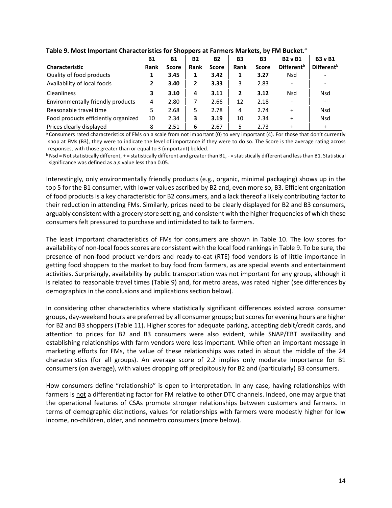|                                     | <b>B1</b> | <b>B1</b>    | <b>B2</b>    | <b>B2</b>    | <b>B3</b> | <b>B3</b>    | <b>B2</b> v <b>B1</b>    | <b>B3</b> v B1         |  |  |  |
|-------------------------------------|-----------|--------------|--------------|--------------|-----------|--------------|--------------------------|------------------------|--|--|--|
| <b>Characteristic</b>               | Rank      | <b>Score</b> | Rank         | <b>Score</b> | Rank      | <b>Score</b> | Different <sup>b</sup>   | Different <sup>b</sup> |  |  |  |
| Quality of food products            |           | 3.45         | 1            | 3.42         |           | 3.27         | <b>Nsd</b>               |                        |  |  |  |
| Availability of local foods         |           | 3.40         | $\mathbf{2}$ | 3.33         | 3         | 2.83         |                          |                        |  |  |  |
| Cleanliness                         | 3         | 3.10         | 4            | 3.11         | 2         | 3.12         | <b>Nsd</b>               | <b>Nsd</b>             |  |  |  |
| Environmentally friendly products   | 4         | 2.80         |              | 2.66         | 12        | 2.18         | $\overline{\phantom{a}}$ |                        |  |  |  |
| Reasonable travel time              | 5         | 2.68         | 5            | 2.78         | 4         | 2.74         | $\ddot{}$                | <b>Nsd</b>             |  |  |  |
| Food products efficiently organized | 10        | 2.34         | 3            | 3.19         | 10        | 2.34         | $\ddot{}$                | <b>Nsd</b>             |  |  |  |
| Prices clearly displayed            | 8         | 2.51         | 6            | 2.67         | 5         | 2.73         | $\ddot{}$                | $\div$                 |  |  |  |

#### **Table 9. Most Important Characteristics for Shoppers at Farmers Markets, by FM Bucket.a**

a Consumers rated characteristics of FMs on a scale from not important (0) to very important (4). For those that don't currently shop at FMs (B3), they were to indicate the level of importance if they were to do so. The Score is the average rating across responses, with those greater than or equal to 3 (important) bolded.

 $b$  Nsd = Not statistically different, + = statistically different and greater than B1, - = statistically different and less than B1. Statistical significance was defined as a *p* value less than 0.05.

Interestingly, only environmentally friendly products (e.g., organic, minimal packaging) shows up in the top 5 for the B1 consumer, with lower values ascribed by B2 and, even more so, B3. Efficient organization of food products is a key characteristic for B2 consumers, and a lack thereof a likely contributing factor to their reduction in attending FMs. Similarly, prices need to be clearly displayed for B2 and B3 consumers, arguably consistent with a grocery store setting, and consistent with the higher frequencies of which these consumers felt pressured to purchase and intimidated to talk to farmers.

The least important characteristics of FMs for consumers are shown in Table 10. The low scores for availability of non-local foods scores are consistent with the local food rankings in Table 9. To be sure, the presence of non-food product vendors and ready-to-eat (RTE) food vendors is of little importance in getting food shoppers to the market to buy food from farmers, as are special events and entertainment activities. Surprisingly, availability by public transportation was not important for any group, although it is related to reasonable travel times (Table 9) and, for metro areas, was rated higher (see differences by demographics in the conclusions and implications section below).

In considering other characteristics where statistically significant differences existed across consumer groups, day-weekend hours are preferred by all consumer groups; but scores for evening hours are higher for B2 and B3 shoppers (Table 11). Higher scores for adequate parking, accepting debit/credit cards, and attention to prices for B2 and B3 consumers were also evident, while SNAP/EBT availability and establishing relationships with farm vendors were less important. While often an important message in marketing efforts for FMs, the value of these relationships was rated in about the middle of the 24 characteristics (for all groups). An average score of 2.2 implies only moderate importance for B1 consumers (on average), with values dropping off precipitously for B2 and (particularly) B3 consumers.

How consumers define "relationship" is open to interpretation. In any case, having relationships with farmers is not a differentiating factor for FM relative to other DTC channels. Indeed, one may argue that the operational features of CSAs promote stronger relationships between customers and farmers. In terms of demographic distinctions, values for relationships with farmers were modestly higher for low income, no-children, older, and nonmetro consumers (more below).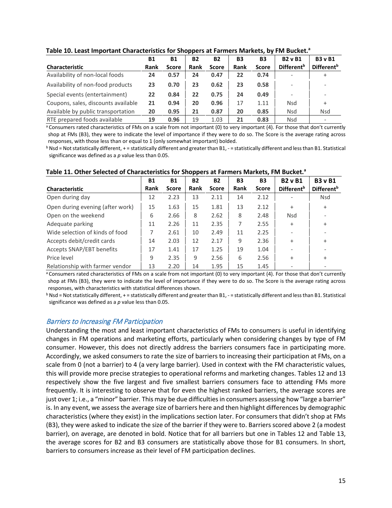|                                     | <b>B1</b> | <b>B1</b>    | <b>B2</b>   | <b>B2</b>    | B <sub>3</sub> | <b>B3</b>    | <b>B2</b> v B1           | <b>B3</b> v B1         |  |
|-------------------------------------|-----------|--------------|-------------|--------------|----------------|--------------|--------------------------|------------------------|--|
| Characteristic                      | Rank      | <b>Score</b> | <b>Rank</b> | <b>Score</b> | <b>Rank</b>    | <b>Score</b> | Different <sup>b</sup>   | Different <sup>b</sup> |  |
| Availability of non-local foods     | 24        | 0.57         | 24          | 0.47         | 22             | 0.74         | $\overline{\phantom{a}}$ | $\ddot{}$              |  |
| Availability of non-food products   | 23        | 0.70         | 23          | 0.62         | 23             | 0.58         | $\overline{\phantom{a}}$ |                        |  |
| Special events (entertainment)      | 22        | 0.84         | 22          | 0.75         | 24             | 0.49         |                          |                        |  |
| Coupons, sales, discounts available | 21        | 0.94         | 20          | 0.96         | 17             | 1.11         | <b>Nsd</b>               | $\ddot{}$              |  |
| Available by public transportation  | 20        | 0.95         | 21          | 0.87         | 20             | 0.85         | <b>Nsd</b>               | <b>Nsd</b>             |  |
| RTE prepared foods available        | 19        | 0.96         | 19          | 1.03         | 21             | 0.83         | <b>Nsd</b>               |                        |  |

#### **Table 10. Least Important Characteristics for Shoppers at Farmers Markets, by FM Bucket.a**

<sup>a</sup> Consumers rated characteristics of FMs on a scale from not important (0) to very important (4). For those that don't currently shop at FMs (B3), they were to indicate the level of importance if they were to do so. The Score is the average rating across responses, with those less than or equal to 1 (only somewhat important) bolded.

 $b$  Nsd = Not statistically different, + = statistically different and greater than B1, - = statistically different and less than B1. Statistical significance was defined as a *p* value less than 0.05.

|                                  | <b>B1</b> | <b>B1</b>    | <b>B2</b> | <b>B2</b>    | B <sub>3</sub> | <b>B3</b>    | <b>B2</b> v B1           | <b>B3</b> v B1                |
|----------------------------------|-----------|--------------|-----------|--------------|----------------|--------------|--------------------------|-------------------------------|
| Characteristic                   | Rank      | <b>Score</b> | Rank      | <b>Score</b> | Rank           | <b>Score</b> | Different <sup>b</sup>   | <b>Different</b> <sup>b</sup> |
| Open during day                  | 12        | 2.23         | 13        | 2.11         | 14             | 2.12         | $\overline{\phantom{a}}$ | <b>Nsd</b>                    |
| Open during evening (after work) | 15        | 1.63         | 15        | 1.81         | 13             | 2.12         | $\ddot{}$                | $+$                           |
| Open on the weekend              | 6         | 2.66         | 8         | 2.62         | 8              | 2.48         | <b>Nsd</b>               |                               |
| Adequate parking                 | 11        | 2.26         | 11        | 2.35         | 7              | 2.55         | $\ddot{}$                | $\ddot{}$                     |
| Wide selection of kinds of food  | 7         | 2.61         | 10        | 2.49         | 11             | 2.25         |                          |                               |
| Accepts debit/credit cards       | 14        | 2.03         | 12        | 2.17         | 9              | 2.36         | $\ddot{}$                | $\ddot{}$                     |
| Accepts SNAP/EBT benefits        | 17        | 1.41         | 17        | 1.25         | 19             | 1.04         | $\overline{\phantom{a}}$ |                               |
| Price level                      | 9         | 2.35         | 9         | 2.56         | 6              | 2.56         | $\ddot{}$                | $\ddot{}$                     |
| Relationship with farmer vendor  | 13        | 2.20         | 14        | 1.95         | 15             | 1.45         |                          |                               |

**Table 11. Other Selected of Characteristics for Shoppers at Farmers Markets, FM Bucket.a**

a Consumers rated characteristics of FMs on a scale from not important (0) to very important (4). For those that don't currently shop at FMs (B3), they were to indicate the level of importance if they were to do so. The Score is the average rating across responses, with characteristics with statistical differences shown.

 $b$  Nsd = Not statistically different, + = statistically different and greater than B1, - = statistically different and less than B1. Statistical significance was defined as a *p* value less than 0.05.

#### <span id="page-18-0"></span>Barriers to Increasing FM Participation

Understanding the most and least important characteristics of FMs to consumers is useful in identifying changes in FM operations and marketing efforts, particularly when considering changes by type of FM consumer. However, this does not directly address the barriers consumers face in participating more. Accordingly, we asked consumers to rate the size of barriers to increasing their participation at FMs, on a scale from 0 (not a barrier) to 4 (a very large barrier). Used in context with the FM characteristic values, this will provide more precise strategies to operational reforms and marketing changes. Tables 12 and 13 respectively show the five largest and five smallest barriers consumers face to attending FMs more frequently. It is interesting to observe that for even the highest ranked barriers, the average scores are just over 1; i.e., a "minor" barrier. This may be due difficulties in consumers assessing how "large a barrier" is. In any event, we assess the average size of barriers here and then highlight differences by demographic characteristics (where they exist) in the implications section later. For consumers that didn't shop at FMs (B3), they were asked to indicate the size of the barrier if they were to. Barriers scored above 2 (a modest barrier), on average, are denoted in bold. Notice that for all barriers but one in Tables 12 and Table 13, the average scores for B2 and B3 consumers are statistically above those for B1 consumers. In short, barriers to consumers increase as their level of FM participation declines.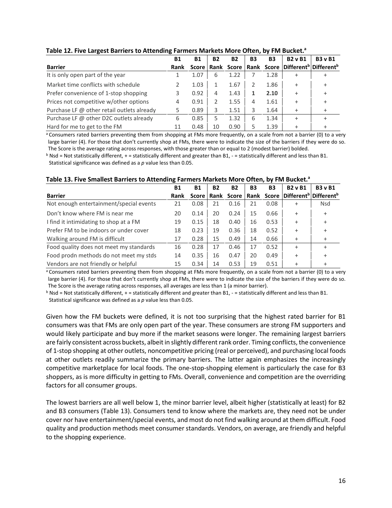| ------                                     |           |           |           |           |           |      |                |                                                                                   |
|--------------------------------------------|-----------|-----------|-----------|-----------|-----------|------|----------------|-----------------------------------------------------------------------------------|
|                                            | <b>B1</b> | <b>B1</b> | <b>B2</b> | <b>B2</b> | <b>B3</b> | B3   | <b>B2</b> v B1 | <b>B3</b> v B1                                                                    |
| <b>Barrier</b>                             | Rank      |           |           |           |           |      |                | Score   Rank Score   Rank Score   Different <sup>b</sup>   Different <sup>b</sup> |
| It is only open part of the year           |           | 1.07      | ь         | 1.22      |           | 1.28 | +              |                                                                                   |
| Market time conflicts with schedule        |           | 1.03      |           | 1.67      |           | 1.86 | $\ddot{}$      |                                                                                   |
| Prefer convenience of 1-stop shopping      | 3         | 0.92      | 4         | 1.43      |           | 2.10 |                |                                                                                   |
| Prices not competitive w/other options     | 4         | 0.91      |           | 1.55      | 4         | 1.61 |                |                                                                                   |
| Purchase LF @ other retail outlets already | 5         | 0.89      | 3         | 1.51      | 3         | 1.64 |                |                                                                                   |
| Purchase LF @ other D2C outlets already    | 6         | 0.85      |           | 1.32      | 6         | 1.34 |                |                                                                                   |
| Hard for me to get to the FM               | 11        | 0.48      | 10        | 0.90      | 5         | 1.39 |                |                                                                                   |

#### **Table 12. Five Largest Barriers to Attending Farmers Markets More Often, by FM Bucket.**<sup>a</sup>

a Consumers rated barriers preventing them from shopping at FMs more frequently, on a scale from not a barrier (0) to a very large barrier (4). For those that don't currently shop at FMs, there were to indicate the size of the barriers if they were do so. The Score is the average rating across responses, with those greater than or equal to 2 (modest barrier) bolded.

 $b$  Nsd = Not statistically different, + = statistically different and greater than B1, - = statistically different and less than B1. Statistical significance was defined as a *p* value less than 0.05.

|                                         | <b>B1</b> | <b>B1</b> | <b>B2</b> | <b>B2</b>        | <b>B3</b> | <b>B3</b> | <b>B2</b> v B1 | <b>B3</b> v B1                                           |
|-----------------------------------------|-----------|-----------|-----------|------------------|-----------|-----------|----------------|----------------------------------------------------------|
| <b>Barrier</b>                          | Rank      |           |           | Score Rank Score |           |           |                | Rank Score Different <sup>b</sup> Different <sup>b</sup> |
| Not enough entertainment/special events | 21        | 0.08      | 21        | 0.16             | 21        | 0.08      | $\ddot{}$      | Nsd                                                      |
| Don't know where FM is near me          | 20        | 0.14      | 20        | 0.24             | 15        | 0.66      | $\ddot{}$      | $\ddot{}$                                                |
| I find it intimidating to shop at a FM  | 19        | 0.15      | 18        | 0.40             | 16        | 0.53      | $\ddot{}$      | $\ddot{}$                                                |
| Prefer FM to be indoors or under cover  | 18        | 0.23      | 19        | 0.36             | 18        | 0.52      | $\ddot{}$      | $\ddot{}$                                                |
| Walking around FM is difficult          | 17        | 0.28      | 15        | 0.49             | 14        | 0.66      | $\ddot{}$      | $\ddot{}$                                                |
| Food quality does not meet my standards | 16        | 0.28      | 17        | 0.46             | 17        | 0.52      | $\ddot{}$      |                                                          |
| Food prodn methods do not meet my stds  | 14        | 0.35      | 16        | 0.47             | 20        | 0.49      | $\ddot{}$      | $\ddot{}$                                                |
| Vendors are not friendly or helpful     | 15        | 0.34      | 14        | 0.53             | 19        | 0.51      | $\ddot{}$      |                                                          |

a Consumers rated barriers preventing them from shopping at FMs more frequently, on a scale from not a barrier (0) to a very large barrier (4). For those that don't currently shop at FMs, there were to indicate the size of the barriers if they were do so. The Score is the average rating across responses, all averages are less than 1 (a minor barrier).

 $b$  Nsd = Not statistically different, + = statistically different and greater than B1, - = statistically different and less than B1. Statistical significance was defined as a *p* value less than 0.05.

Given how the FM buckets were defined, it is not too surprising that the highest rated barrier for B1 consumers was that FMs are only open part of the year. These consumers are strong FM supporters and would likely participate and buy more if the market seasons were longer. The remaining largest barriers are fairly consistent across buckets, albeit in slightly different rank order. Timing conflicts, the convenience of 1-stop shopping at other outlets, noncompetitive pricing (real or perceived), and purchasing local foods at other outlets readily summarize the primary barriers. The latter again emphasizes the increasingly competitive marketplace for local foods. The one-stop-shopping element is particularly the case for B3 shoppers, as is more difficulty in getting to FMs. Overall, convenience and competition are the overriding factors for all consumer groups.

The lowest barriers are all well below 1, the minor barrier level, albeit higher (statistically at least) for B2 and B3 consumers (Table 13). Consumers tend to know where the markets are, they need not be under cover nor have entertainment/special events, and most do not find walking around at them difficult. Food quality and production methods meet consumer standards. Vendors, on average, are friendly and helpful to the shopping experience.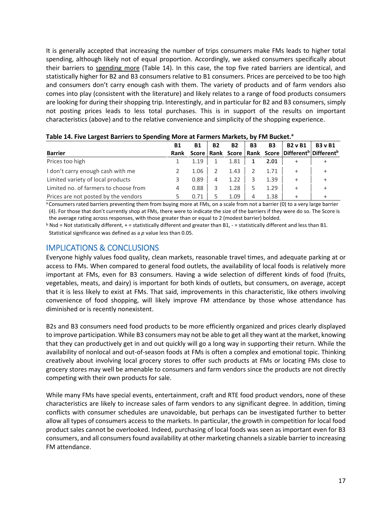It is generally accepted that increasing the number of trips consumers make FMs leads to higher total spending, although likely not of equal proportion. Accordingly, we asked consumers specifically about their barriers to spending more (Table 14). In this case, the top five rated barriers are identical, and statistically higher for B2 and B3 consumers relative to B1 consumers. Prices are perceived to be too high and consumers don't carry enough cash with them. The variety of products and of farm vendors also comes into play (consistent with the literature) and likely relates to a range of food products consumers are looking for during their shopping trip. Interestingly, and in particular for B2 and B3 consumers, simply not posting prices leads to less total purchases. This is in support of the results on important characteristics (above) and to the relative convenience and simplicity of the shopping experience.

| <b>TWAIS 211 THE EXINENT DUITIERS TO SPERIMING MOTE UT TURNED MAINERS AT THE BUSINET</b> |             |           |           |      |    |                |                                                                                   |                |
|------------------------------------------------------------------------------------------|-------------|-----------|-----------|------|----|----------------|-----------------------------------------------------------------------------------|----------------|
|                                                                                          | Β1          | <b>B1</b> | <b>B2</b> | B2   | B3 | B <sub>3</sub> | <b>B2</b> v B1                                                                    | <b>B3</b> v B1 |
| <b>Barrier</b>                                                                           | <b>Rank</b> |           |           |      |    |                | Score   Rank Score   Rank Score   Different <sup>b</sup>   Different <sup>b</sup> |                |
| Prices too high                                                                          |             | 1.19      |           | 1.81 |    | 2.01           |                                                                                   |                |
| I don't carry enough cash with me                                                        |             | 1.06      |           | 1.43 |    | 1.71           |                                                                                   |                |
| Limited variety of local products                                                        |             | 0.89      | 4         | 1.22 |    | 1.39           | $\pm$                                                                             |                |
| Limited no. of farmers to choose from                                                    | 4           | 0.88      | 3         | 1.28 |    | 1.29           | $\ddot{}$                                                                         |                |
| Prices are not posted by the vendors                                                     |             | 0.71      |           | 1.09 |    | 1.38           |                                                                                   |                |

|  |  | Table 14. Five Largest Barriers to Spending More at Farmers Markets, by FM Bucket. <sup>a</sup> |
|--|--|-------------------------------------------------------------------------------------------------|
|--|--|-------------------------------------------------------------------------------------------------|

<span id="page-20-0"></span>a Consumers rated barriers preventing them from buying more at FMs, on a scale from not a barrier (0) to a very large barrier (4). For those that don't currently shop at FMs, there were to indicate the size of the barriers if they were do so. The Score is the average rating across responses, with those greater than or equal to 2 (modest barrier) bolded.

 $b$  Nsd = Not statistically different, + = statistically different and greater than B1, - = statistically different and less than B1. Statistical significance was defined as a *p* value less than 0.05.

# IMPLICATIONS & CONCLUSIONS

Everyone highly values food quality, clean markets, reasonable travel times, and adequate parking at or access to FMs. When compared to general food outlets, the availability of local foods is relatively more important at FMs, even for B3 consumers. Having a wide selection of different kinds of food (fruits, vegetables, meats, and dairy) is important for both kinds of outlets, but consumers, on average, accept that it is less likely to exist at FMs. That said, improvements in this characteristic, like others involving convenience of food shopping, will likely improve FM attendance by those whose attendance has diminished or is recently nonexistent.

B2s and B3 consumers need food products to be more efficiently organized and prices clearly displayed to improve participation. While B3 consumers may not be able to get all they want at the market, knowing that they can productively get in and out quickly will go a long way in supporting their return. While the availability of nonlocal and out-of-season foods at FMs is often a complex and emotional topic. Thinking creatively about involving local grocery stores to offer such products at FMs or locating FMs close to grocery stores may well be amenable to consumers and farm vendors since the products are not directly competing with their own products for sale.

While many FMs have special events, entertainment, craft and RTE food product vendors, none of these characteristics are likely to increase sales of farm vendors to any significant degree. In addition, timing conflicts with consumer schedules are unavoidable, but perhaps can be investigated further to better allow all types of consumers access to the markets. In particular, the growth in competition for local food product sales cannot be overlooked. Indeed, purchasing of local foods was seen as important even for B3 consumers, and all consumers found availability at other marketing channels a sizable barrier to increasing FM attendance.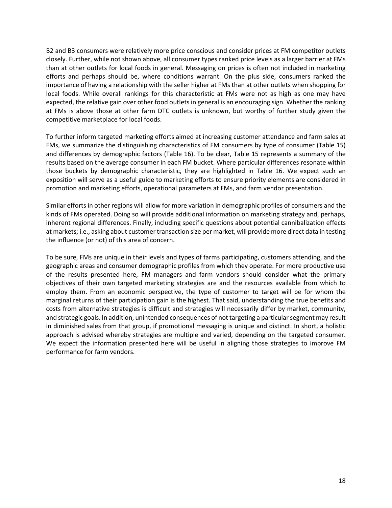B2 and B3 consumers were relatively more price conscious and consider prices at FM competitor outlets closely. Further, while not shown above, all consumer types ranked price levels as a larger barrier at FMs than at other outlets for local foods in general. Messaging on prices is often not included in marketing efforts and perhaps should be, where conditions warrant. On the plus side, consumers ranked the importance of having a relationship with the seller higher at FMs than at other outlets when shopping for local foods. While overall rankings for this characteristic at FMs were not as high as one may have expected, the relative gain over other food outlets in general is an encouraging sign. Whether the ranking at FMs is above those at other farm DTC outlets is unknown, but worthy of further study given the competitive marketplace for local foods.

To further inform targeted marketing efforts aimed at increasing customer attendance and farm sales at FMs, we summarize the distinguishing characteristics of FM consumers by type of consumer (Table 15) and differences by demographic factors (Table 16). To be clear, Table 15 represents a summary of the results based on the average consumer in each FM bucket. Where particular differences resonate within those buckets by demographic characteristic, they are highlighted in Table 16. We expect such an exposition will serve as a useful guide to marketing efforts to ensure priority elements are considered in promotion and marketing efforts, operational parameters at FMs, and farm vendor presentation.

Similar efforts in other regions will allow for more variation in demographic profiles of consumers and the kinds of FMs operated. Doing so will provide additional information on marketing strategy and, perhaps, inherent regional differences. Finally, including specific questions about potential cannibalization effects at markets; i.e., asking about customer transaction size per market, will provide more direct data in testing the influence (or not) of this area of concern.

To be sure, FMs are unique in their levels and types of farms participating, customers attending, and the geographic areas and consumer demographic profiles from which they operate. For more productive use of the results presented here, FM managers and farm vendors should consider what the primary objectives of their own targeted marketing strategies are and the resources available from which to employ them. From an economic perspective, the type of customer to target will be for whom the marginal returns of their participation gain is the highest. That said, understanding the true benefits and costs from alternative strategies is difficult and strategies will necessarily differ by market, community, and strategic goals. In addition, unintended consequences of not targeting a particular segment may result in diminished sales from that group, if promotional messaging is unique and distinct. In short, a holistic approach is advised whereby strategies are multiple and varied, depending on the targeted consumer. We expect the information presented here will be useful in aligning those strategies to improve FM performance for farm vendors.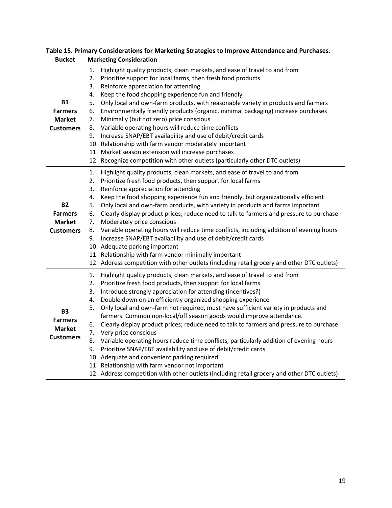|                  | rable 15. Frimary Considerations for ividineting strategies to improve Attenualice and Furchases. |
|------------------|---------------------------------------------------------------------------------------------------|
| <b>Bucket</b>    | <b>Marketing Consideration</b>                                                                    |
|                  | Highlight quality products, clean markets, and ease of travel to and from<br>1.                   |
|                  | 2.<br>Prioritize support for local farms, then fresh food products                                |
|                  | Reinforce appreciation for attending<br>3.                                                        |
|                  | Keep the food shopping experience fun and friendly<br>4.                                          |
| <b>B1</b>        | Only local and own-farm products, with reasonable variety in products and farmers<br>5.           |
| <b>Farmers</b>   | Environmentally friendly products (organic, minimal packaging) increase purchases<br>6.           |
| <b>Market</b>    | Minimally (but not zero) price conscious<br>7.                                                    |
| <b>Customers</b> | Variable operating hours will reduce time conflicts<br>8.                                         |
|                  | Increase SNAP/EBT availability and use of debit/credit cards<br>9.                                |
|                  | 10. Relationship with farm vendor moderately important                                            |
|                  | 11. Market season extension will increase purchases                                               |
|                  | 12. Recognize competition with other outlets (particularly other DTC outlets)                     |
|                  | Highlight quality products, clean markets, and ease of travel to and from<br>1.                   |
|                  | 2.<br>Prioritize fresh food products, then support for local farms                                |
|                  | Reinforce appreciation for attending<br>3.                                                        |
|                  | Keep the food shopping experience fun and friendly, but organizationally efficient<br>4.          |
| <b>B2</b>        | Only local and own-farm products, with variety in products and farms important<br>5.              |
| <b>Farmers</b>   | Clearly display product prices; reduce need to talk to farmers and pressure to purchase<br>6.     |
| <b>Market</b>    | 7.<br>Moderately price conscious                                                                  |
| <b>Customers</b> | Variable operating hours will reduce time conflicts, including addition of evening hours<br>8.    |
|                  | Increase SNAP/EBT availability and use of debit/credit cards<br>9.                                |
|                  | 10. Adequate parking important                                                                    |
|                  | 11. Relationship with farm vendor minimally important                                             |
|                  | 12. Address competition with other outlets (including retail grocery and other DTC outlets)       |
|                  | 1.<br>Highlight quality products, clean markets, and ease of travel to and from                   |
|                  | Prioritize fresh food products, then support for local farms<br>2.                                |
|                  | 3.<br>Introduce strongly appreciation for attending (incentives?)                                 |
|                  | Double down on an efficiently organized shopping experience<br>4.                                 |
| <b>B3</b>        | Only local and own-farm not required, must have sufficient variety in products and<br>5.          |
| <b>Farmers</b>   | farmers. Common non-local/off season goods would improve attendance.                              |
| <b>Market</b>    | Clearly display product prices; reduce need to talk to farmers and pressure to purchase<br>6.     |
| <b>Customers</b> | Very price conscious<br>7.                                                                        |
|                  | Variable operating hours reduce time conflicts, particularly addition of evening hours<br>8.      |
|                  | Prioritize SNAP/EBT availability and use of debit/credit cards<br>9.                              |
|                  | 10. Adequate and convenient parking required                                                      |
|                  | 11. Relationship with farm vendor not important                                                   |
|                  | 12. Address competition with other outlets (including retail grocery and other DTC outlets)       |

# **Table 15. Primary Considerations for Marketing Strategies to Improve Attendance and Purchases.**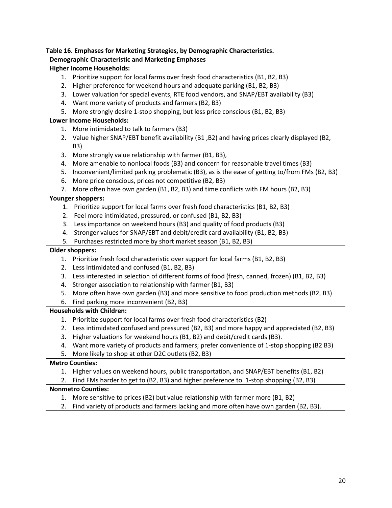#### **Table 16. Emphases for Marketing Strategies, by Demographic Characteristics.**

#### **Demographic Characteristic and Marketing Emphases**

#### **Higher Income Households:**

- 1. Prioritize support for local farms over fresh food characteristics (B1, B2, B3)
- 2. Higher preference for weekend hours and adequate parking (B1, B2, B3)
- 3. Lower valuation for special events, RTE food vendors, and SNAP/EBT availability (B3)
- 4. Want more variety of products and farmers (B2, B3)
- 5. More strongly desire 1-stop shopping, but less price conscious (B1, B2, B3)

#### **Lower Income Households:**

- 1. More intimidated to talk to farmers (B3)
- 2. Value higher SNAP/EBT benefit availability (B1 ,B2) and having prices clearly displayed (B2, B3)
- 3. More strongly value relationship with farmer (B1, B3),
- 4. More amenable to nonlocal foods (B3) and concern for reasonable travel times (B3)
- 5. Inconvenient/limited parking problematic (B3), as is the ease of getting to/from FMs (B2, B3)
- 6. More price conscious, prices not competitive (B2, B3)
- 7. More often have own garden (B1, B2, B3) and time conflicts with FM hours (B2, B3)

#### **Younger shoppers:**

- 1. Prioritize support for local farms over fresh food characteristics (B1, B2, B3)
- 2. Feel more intimidated, pressured, or confused (B1, B2, B3)
- 3. Less importance on weekend hours (B3) and quality of food products (B3)
- 4. Stronger values for SNAP/EBT and debit/credit card availability (B1, B2, B3)
- 5. Purchases restricted more by short market season (B1, B2, B3)

#### **Older shoppers:**

- 1. Prioritize fresh food characteristic over support for local farms (B1, B2, B3)
- 2. Less intimidated and confused (B1, B2, B3)
- 3. Less interested in selection of different forms of food (fresh, canned, frozen) (B1, B2, B3)
- 4. Stronger association to relationship with farmer (B1, B3)
- 5. More often have own garden (B3) and more sensitive to food production methods (B2, B3)
- 6. Find parking more inconvenient (B2, B3)

#### **Households with Children:**

- 1. Prioritize support for local farms over fresh food characteristics (B2)
- 2. Less intimidated confused and pressured (B2, B3) and more happy and appreciated (B2, B3)
- 3. Higher valuations for weekend hours (B1, B2) and debit/credit cards (B3).
- 4. Want more variety of products and farmers; prefer convenience of 1-stop shopping (B2 B3)
- 5. More likely to shop at other D2C outlets (B2, B3)

#### **Metro Counties:**

- 1. Higher values on weekend hours, public transportation, and SNAP/EBT benefits (B1, B2)
- 2. Find FMs harder to get to (B2, B3) and higher preference to 1-stop shopping (B2, B3)

#### **Nonmetro Counties:**

- 1. More sensitive to prices (B2) but value relationship with farmer more (B1, B2)
- 2. Find variety of products and farmers lacking and more often have own garden (B2, B3).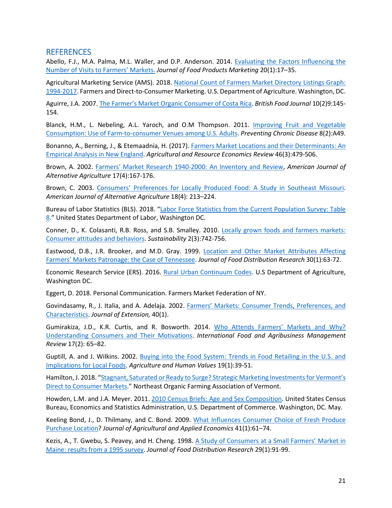### <span id="page-24-0"></span>**REFERENCES**

Abello, F.J., M.A. Palma, M.L. Waller, and D.P. Anderson. 2014. [Evaluating the Factors Influencing the](https://doi.org/10.1080/10454446.2013.807406)  [Number of Visits to Farmers' Markets.](https://doi.org/10.1080/10454446.2013.807406) *Journal of Food Products Marketing* 20(1):17–35.

Agricultural Marketing Service (AMS). 2018. [National Count of Farmers Market Directory Listings Graph:](https://www.ams.usda.gov/services/local-regional/farmers-markets-and-direct-consumer-marketing)  [1994-2017.](https://www.ams.usda.gov/services/local-regional/farmers-markets-and-direct-consumer-marketing) Farmers and Direct-to-Consumer Marketing. U.S. Department of Agriculture. Washington, DC.

Aguirre, J.A. 2007[. The Farmer's Market Organic Consumer of Costa Rica.](https://doi.org/10.1108/00070700710725509) *British Food Journal* 10(2)9:145- 154.

Blanck, H.M., L. Nebeling, A.L. Yaroch, and O.M Thompson. 2011. [Improving Fruit and Vegetable](https://www.ncbi.nlm.nih.gov/pubmed/21324263)  [Consumption: Use of Farm-to-consumer Venues among U.S. Adults.](https://www.ncbi.nlm.nih.gov/pubmed/21324263) *Preventing Chronic Disease* 8(2):A49.

Bonanno, A., Berning, J., & Etemaadnia, H. (2017)[. Farmers Market Locations and their Determinants: An](https://doi.org/10.1017/age.2016.43)  [Empirical Analysis in New England.](https://doi.org/10.1017/age.2016.43) *Agricultural and Resource Economics Review* 46(3):479-506.

Brown, A. 2002. [Farmers' Market Research 1940-2000: An Inventory and Review,](https://doi.org/10.1079/AJAA200218) *American Journal of Alternative Agriculture* 17(4):167-176.

Brown, C. 2003. [Consumers' Preferences for Locally Produced Food: A Study in Southeast Missouri.](https://doi.org/10.1079/AJAA200353) *American Journal of Alternative Agriculture* 18(4): 213–224.

Bureau of Labor Statistics (BLS). 2018. ["Labor Force Statistics from the Current Population Survey: Table](ttps://www.bls.gov/cps/cpsaat08.htm)  [8.](ttps://www.bls.gov/cps/cpsaat08.htm)" United States Department of Labor, Washington DC.

Conner, D., K. Colasanti, R.B. Ross, and S.B. Smalley. 2010. [Locally grown foods and farmers markets:](https://doi.org/10.3390/su2030742)  [Consumer attitudes and behaviors.](https://doi.org/10.3390/su2030742) *Sustainability* 2(3):742-756.

Eastwood, D.B., J.R. Brooker, and M.D. Gray. 1999. [Location and Other Market Attributes Affecting](https://ageconsearch.umn.edu/record/26789?ln=en)  Farmers' [Markets Patronage: the Case of Tennessee.](https://ageconsearch.umn.edu/record/26789?ln=en) *Journal of Food Distribution Research* 30(1):63-72.

Economic Research Service (ERS). 2016. [Rural Urban Continuum Codes.](https://www.ers.usda.gov/data-products/rural-urban-continuum-codes/) U.S Department of Agriculture, Washington DC.

Eggert, D. 2018. Personal Communication. Farmers Market Federation of NY.

Govindasamy, R., J. Italia, and A. Adelaja. 2002. [Farmers' Markets: Consumer Trends, Preferences, and](http://www.joe.org/joe/2002february/rbs.html)  [Characteristics.](http://www.joe.org/joe/2002february/rbs.html) *Journal of Extension,* 40(1).

Gumirakiza, J.D., K.R. Curtis, and R. Bosworth. 2014. [Who Attends Farmers' Markets and Why?](https://ageconsearch.umn.edu/record/167905)  [Understanding Consumers and Their Motivations.](https://ageconsearch.umn.edu/record/167905) *International Food and Agribusiness Management Review* 17(2): 65–82.

Guptill, A. and J. Wilkins. 2002. Buying into the Food System: Trends in Food Retailing in the U.S. and [Implications for Local Foods.](https://doi.org/10.1023/A:1015024827047) *Agriculture and Human Values* 19(1):39-51.

Hamilton, J. 2018. "Stagnant, Saturated or Ready to Surge? Strategic Marketing Investments for Vermont's [Direct to Consumer Markets.](https://farmersmarketcoalition.org/wp-content/uploads/gravity_forms/1-66fc51da018bd946fb1dfb74f4bea1e7/2018/02/Direct-Market-Report-Final.pdf)" Northeast Organic Farming Association of Vermont.

Howden, L.M. and J.A. Meyer. 2011[. 2010 Census Briefs: Age and Sex Composition.](https://www.census.gov/prod/cen2010/briefs/c2010br-03.pdf) United States Census Bureau, Economics and Statistics Administration, U.S. Department of Commerce. Washington, DC. May.

Keeling Bond, J., D. Thilmany, and C. Bond. 2009. [What Influences Consumer Choice of Fresh Produce](https://doi.org/10.1017/S1074070800002558.)  [Purchase Location?](https://doi.org/10.1017/S1074070800002558.) *Journal of Agricultural and Applied Economics* 41(1):61–74.

Kezis, A., T. Gwebu, S. Peavey, and H. Cheng. 1998. [A Study of Consumers at a Small Farmers' Market in](https://ageconsearch.umn.edu/record/27442)  [Maine: results from a 1995 survey.](https://ageconsearch.umn.edu/record/27442) *Journal of Food Distribution Research* 29(1):91-99.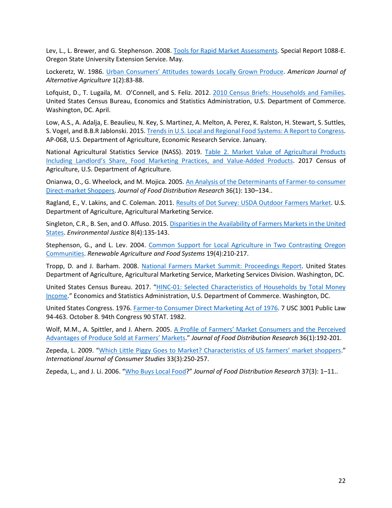Lev, L., L. Brewer, and G. Stephenson. 2008. [Tools for Rapid Market Assessments.](https://catalog.extension.oregonstate.edu/sites/catalog/files/project/pdf/sr1088.pdf.) Special Report 1088-E. Oregon State University Extension Service. May.

Lockeretz, W. 1986. [Urban Consumers' Attitudes towards](https://doi.org/10.1017/S0889189300000941) Locally Grown Produce. *American Journal of Alternative Agriculture* 1(2):83-88.

Lofquist, D., T. Lugaila, M. O'Connell, and S. Feliz. 2012. [2010 Census Briefs: Households and Families.](https://www.census.gov/prod/cen2010/briefs/c2010br-14.pdf) United States Census Bureau, Economics and Statistics Administration, U.S. Department of Commerce. Washington, DC. April.

Low, A.S., A. Adalja, E. Beaulieu, N. Key, S. Martinez, A. Melton, A. Perez, K. Ralston, H. Stewart, S. Suttles, S. Vogel, and B.B.R Jablonski. 2015[. Trends in U.S. Local and Regional Food Systems: A Report to Congress.](https://www.ers.usda.gov/publications/pub-details/?pubid=42807) AP-068, U.S. Department of Agriculture, Economic Research Service. January.

National Agricultural Statistics Service (NASS). 2019. [Table 2. Market Value of Agricultural Products](https://www.nass.usda.gov/Publications/AgCensus/2017/Full_Report/Volume_1,_Chapter_1_US/st99_1_0002_0002.pdf)  [Including Landlord's Share, Food Marketing Practices, and Value-Added Products.](https://www.nass.usda.gov/Publications/AgCensus/2017/Full_Report/Volume_1,_Chapter_1_US/st99_1_0002_0002.pdf) 2017 Census of Agriculture, U.S. Department of Agriculture.

Onianwa, O., G. Wheelock, and M. Mojica. 2005[. An Analysis of the Determinants of Farmer-to-consumer](https://ageconsearch.umn.edu/record/26773)  [Direct-market Shoppers.](https://ageconsearch.umn.edu/record/26773) *Journal of Food Distribution Research* 36(1): 130–134..

Ragland, E., V. Lakins, and C. Coleman. 2011. Results of Dot Survey: [USDA Outdoor Farmers Market.](http://dx.doi.org/10.9752/MS043.09-2011) U.S. Department of Agriculture, Agricultural Marketing Service.

Singleton, C.R., B. Sen, and O. Affuso. 2015[. Disparities in the Availability of Farmers Markets in the United](https://doi.org/10.1089/env.2015.0011)  [States.](https://doi.org/10.1089/env.2015.0011) *Environmental Justice* 8(4):135-143.

Stephenson, G., and L. Lev. 2004. [Common Support for Local Agriculture in Two Contrasting Oregon](https://doi.org/10.1079/RAFS200481)  [Communities.](https://doi.org/10.1079/RAFS200481) *Renewable Agriculture and Food Systems* 19(4):210-217.

Tropp, D. and J. Barham. 2008. [National Farmers Market Summit: Proceedings Report.](https://www.ams.usda.gov/sites/default/files/media/FMSummitProceedingsReport.pdf) United States Department of Agriculture, Agricultural Marketing Service, Marketing Services Division. Washington, DC.

United States Census Bureau. 2017. ["HINC-01: Selected Characteristics of Households by Total Money](https://www.census.gov/data/tables/time-series/demo/income-poverty/cps-hinc/hinc-01.html)  [Income.](https://www.census.gov/data/tables/time-series/demo/income-poverty/cps-hinc/hinc-01.html)" Economics and Statistics Administration, U.S. Department of Commerce. Washington, DC.

United States Congress. 1976[. Farmer-to Consumer Direct Marketing Act of 1976.](https://www.govinfo.gov/content/pkg/STATUTE-90/pdf/STATUTE-90-Pg1982.pdf) 7 USC 3001 Public Law 94-463. October 8. 94th Congress 90 STAT. 1982.

Wolf, M.M., A. Spittler, and J. Ahern. 2005. [A Profile of Farmers' Market Consumers and the Perceived](https://ageconsearch.umn.edu/record/26768?ln=en)  [Advantages of Produce Sold at Farmers' Markets.](https://ageconsearch.umn.edu/record/26768?ln=en)" *Journal of Food Distribution Research* 36(1):192-201.

Zepeda, L. 2009. ["Which Little Piggy Goes to Market? Characteristics of US farmers' market shoppers.](https://doi.org/10.1111/j.1470-6431.2009.00771.x.)" *International Journal of Consumer Studies* 33(3):250-257.

Zepeda, L., and J. Li. 2006. ["Who Buys Local Food?](https://ageconsearch.umn.edu/record/7064)" *Journal of Food Distribution Research* 37(3): 1–11..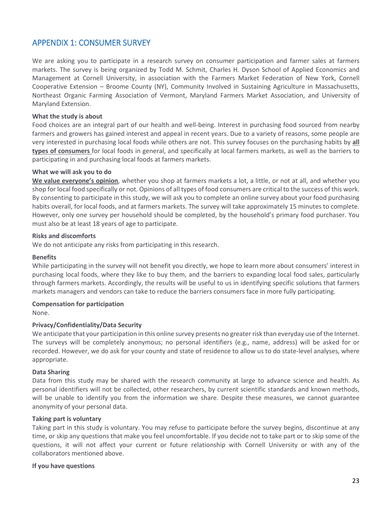# <span id="page-26-0"></span>APPENDIX 1: CONSUMER SURVEY

We are asking you to participate in a research survey on consumer participation and farmer sales at farmers markets. The survey is being organized by Todd M. Schmit, Charles H. Dyson School of Applied Economics and Management at Cornell University, in association with the Farmers Market Federation of New York, Cornell Cooperative Extension – Broome County (NY), Community Involved in Sustaining Agriculture in Massachusetts, Northeast Organic Farming Association of Vermont, Maryland Farmers Market Association, and University of Maryland Extension.

#### **What the study is about**

Food choices are an integral part of our health and well-being. Interest in purchasing food sourced from nearby farmers and growers has gained interest and appeal in recent years. Due to a variety of reasons, some people are very interested in purchasing local foods while others are not. This survey focuses on the purchasing habits by **all types of consumers** for local foods in general, and specifically at local farmers markets, as well as the barriers to participating in and purchasing local foods at farmers markets.

#### **What we will ask you to do**

**We value everyone's opinion**, whether you shop at farmers markets a lot, a little, or not at all, and whether you shop for local food specifically or not. Opinions of all types of food consumers are critical to the success of this work. By consenting to participate in this study, we will ask you to complete an online survey about your food purchasing habits overall, for local foods, and at farmers markets. The survey will take approximately 15 minutes to complete. However, only one survey per household should be completed, by the household's primary food purchaser. You must also be at least 18 years of age to participate.

#### **Risks and discomforts**

We do not anticipate any risks from participating in this research.

#### **Benefits**

While participating in the survey will not benefit you directly, we hope to learn more about consumers' interest in purchasing local foods, where they like to buy them, and the barriers to expanding local food sales, particularly through farmers markets. Accordingly, the results will be useful to us in identifying specific solutions that farmers markets managers and vendors can take to reduce the barriers consumers face in more fully participating.

#### **Compensation for participation**

None.

#### **Privacy/Confidentiality/Data Security**

We anticipate that your participation in this online survey presents no greater risk than everyday use of the Internet. The surveys will be completely anonymous; no personal identifiers (e.g., name, address) will be asked for or recorded. However, we do ask for your county and state of residence to allow us to do state-level analyses, where appropriate.

#### **Data Sharing**

Data from this study may be shared with the research community at large to advance science and health. As personal identifiers will not be collected, other researchers, by current scientific standards and known methods, will be unable to identify you from the information we share. Despite these measures, we cannot guarantee anonymity of your personal data.

#### **Taking part is voluntary**

Taking part in this study is voluntary. You may refuse to participate before the survey begins, discontinue at any time, or skip any questions that make you feel uncomfortable. If you decide not to take part or to skip some of the questions, it will not affect your current or future relationship with Cornell University or with any of the collaborators mentioned above.

#### **If you have questions**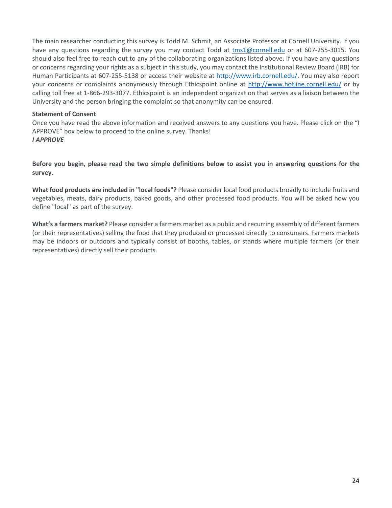The main researcher conducting this survey is Todd M. Schmit, an Associate Professor at Cornell University. If you have any questions regarding the survey you may contact Todd at [tms1@cornell.edu](mailto:tms1@cornell.edu) or at 607-255-3015. You should also feel free to reach out to any of the collaborating organizations listed above. If you have any questions or concerns regarding your rights as a subject in this study, you may contact the Institutional Review Board (IRB) for Human Participants at 607-255-5138 or access their website at [http://www.irb.cornell.edu/.](http://www.irb.cornell.edu/) You may also report your concerns or complaints anonymously through Ethicspoint online at<http://www.hotline.cornell.edu/> or by calling toll free at 1-866-293-3077. Ethicspoint is an independent organization that serves as a liaison between the University and the person bringing the complaint so that anonymity can be ensured.

#### **Statement of Consent**

Once you have read the above information and received answers to any questions you have. Please click on the "I APPROVE" box below to proceed to the online survey. Thanks! *I APPROVE*

**Before you begin, please read the two simple definitions below to assist you in answering questions for the survey**.

**What food products are included in "local foods"?** Please consider local food products broadly to include fruits and vegetables, meats, dairy products, baked goods, and other processed food products. You will be asked how you define "local" as part of the survey.

**What's a farmers market?** Please consider a farmers market as a public and recurring assembly of different farmers (or their representatives) selling the food that they produced or processed directly to consumers. Farmers markets may be indoors or outdoors and typically consist of booths, tables, or stands where multiple farmers (or their representatives) directly sell their products.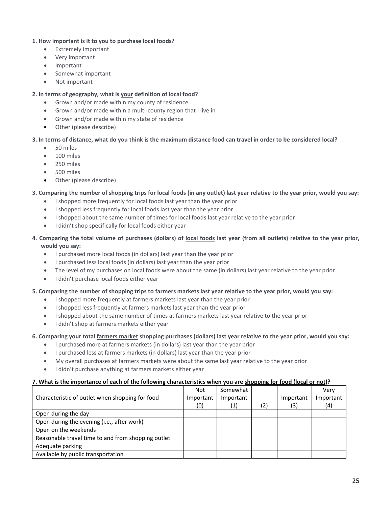#### **1. How important is it to you to purchase local foods?**

- Extremely important
- Very important
- Important
- Somewhat important
- Not important

#### **2. In terms of geography, what is your definition of local food?**

- Grown and/or made within my county of residence
- Grown and/or made within a multi-county region that I live in
- Grown and/or made within my state of residence
- Other (please describe)

#### **3. In terms of distance, what do you think is the maximum distance food can travel in order to be considered local?**

- 50 miles
- 100 miles
- 250 miles
- 500 miles
- Other (please describe)

#### **3. Comparing the number of shopping trips for local foods (in any outlet) last year relative to the year prior, would you say:**

- I shopped more frequently for local foods last year than the year prior
- I shopped less frequently for local foods last year than the year prior
- I shopped about the same number of times for local foods last year relative to the year prior
- I didn't shop specifically for local foods either year

#### **4. Comparing the total volume of purchases (dollars) of local foods last year (from all outlets) relative to the year prior, would you say:**

- I purchased more local foods (in dollars) last year than the year prior
- I purchased less local foods (in dollars) last year than the year prior
- The level of my purchases on local foods were about the same (in dollars) last year relative to the year prior
- I didn't purchase local foods either year

#### **5. Comparing the number of shopping trips to farmers markets last year relative to the year prior, would you say:**

- I shopped more frequently at farmers markets last year than the year prior
- I shopped less frequently at farmers markets last year than the year prior
- I shopped about the same number of times at farmers markets last year relative to the year prior
- I didn't shop at farmers markets either year

#### **6. Comparing your total farmers market shopping purchases (dollars) last year relative to the year prior, would you say:**

- I purchased more at farmers markets (in dollars) last year than the year prior
- I purchased less at farmers markets (in dollars) last year than the year prior
- My overall purchases at farmers markets were about the same last year relative to the year prior
- I didn't purchase anything at farmers markets either year

#### **7. What is the importance of each of the following characteristics when you are shopping for food (local or not)?**

|                                                    | <b>Not</b> | Somewhat  |     |           | Very      |
|----------------------------------------------------|------------|-----------|-----|-----------|-----------|
| Characteristic of outlet when shopping for food    | Important  | Important |     | Important | Important |
|                                                    | (0)        | (1)       | (2) | (3)       | (4)       |
| Open during the day                                |            |           |     |           |           |
| Open during the evening (i.e., after work)         |            |           |     |           |           |
| Open on the weekends                               |            |           |     |           |           |
| Reasonable travel time to and from shopping outlet |            |           |     |           |           |
| Adequate parking                                   |            |           |     |           |           |
| Available by public transportation                 |            |           |     |           |           |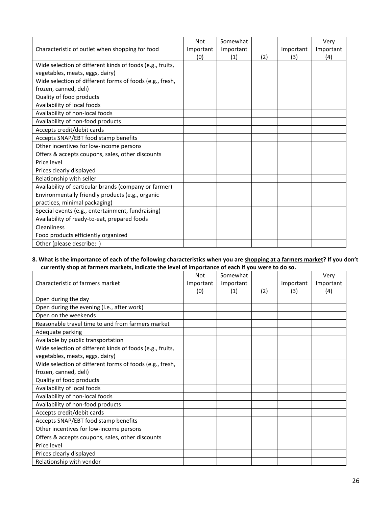|                                                           | <b>Not</b> | Somewhat  |     |           | Very      |
|-----------------------------------------------------------|------------|-----------|-----|-----------|-----------|
| Characteristic of outlet when shopping for food           | Important  | Important |     | Important | Important |
|                                                           | (0)        | (1)       | (2) | (3)       | (4)       |
| Wide selection of different kinds of foods (e.g., fruits, |            |           |     |           |           |
| vegetables, meats, eggs, dairy)                           |            |           |     |           |           |
| Wide selection of different forms of foods (e.g., fresh,  |            |           |     |           |           |
| frozen, canned, deli)                                     |            |           |     |           |           |
| Quality of food products                                  |            |           |     |           |           |
| Availability of local foods                               |            |           |     |           |           |
| Availability of non-local foods                           |            |           |     |           |           |
| Availability of non-food products                         |            |           |     |           |           |
| Accepts credit/debit cards                                |            |           |     |           |           |
| Accepts SNAP/EBT food stamp benefits                      |            |           |     |           |           |
| Other incentives for low-income persons                   |            |           |     |           |           |
| Offers & accepts coupons, sales, other discounts          |            |           |     |           |           |
| Price level                                               |            |           |     |           |           |
| Prices clearly displayed                                  |            |           |     |           |           |
| Relationship with seller                                  |            |           |     |           |           |
| Availability of particular brands (company or farmer)     |            |           |     |           |           |
| Environmentally friendly products (e.g., organic          |            |           |     |           |           |
| practices, minimal packaging)                             |            |           |     |           |           |
| Special events (e.g., entertainment, fundraising)         |            |           |     |           |           |
| Availability of ready-to-eat, prepared foods              |            |           |     |           |           |
| Cleanliness                                               |            |           |     |           |           |
| Food products efficiently organized                       |            |           |     |           |           |
| Other (please describe:                                   |            |           |     |           |           |

#### **8. What is the importance of each of the following characteristics when you are shopping at a farmers market? If you don't currently shop at farmers markets, indicate the level of importance of each if you were to do so.**

|                                                           | Not       | Somewhat  |     |           | Very      |
|-----------------------------------------------------------|-----------|-----------|-----|-----------|-----------|
| Characteristic of farmers market                          | Important | Important |     | Important | Important |
|                                                           | (0)       | (1)       | (2) | (3)       | (4)       |
| Open during the day                                       |           |           |     |           |           |
| Open during the evening (i.e., after work)                |           |           |     |           |           |
| Open on the weekends                                      |           |           |     |           |           |
| Reasonable travel time to and from farmers market         |           |           |     |           |           |
| Adequate parking                                          |           |           |     |           |           |
| Available by public transportation                        |           |           |     |           |           |
| Wide selection of different kinds of foods (e.g., fruits, |           |           |     |           |           |
| vegetables, meats, eggs, dairy)                           |           |           |     |           |           |
| Wide selection of different forms of foods (e.g., fresh,  |           |           |     |           |           |
| frozen, canned, deli)                                     |           |           |     |           |           |
| Quality of food products                                  |           |           |     |           |           |
| Availability of local foods                               |           |           |     |           |           |
| Availability of non-local foods                           |           |           |     |           |           |
| Availability of non-food products                         |           |           |     |           |           |
| Accepts credit/debit cards                                |           |           |     |           |           |
| Accepts SNAP/EBT food stamp benefits                      |           |           |     |           |           |
| Other incentives for low-income persons                   |           |           |     |           |           |
| Offers & accepts coupons, sales, other discounts          |           |           |     |           |           |
| Price level                                               |           |           |     |           |           |
| Prices clearly displayed                                  |           |           |     |           |           |
| Relationship with vendor                                  |           |           |     |           |           |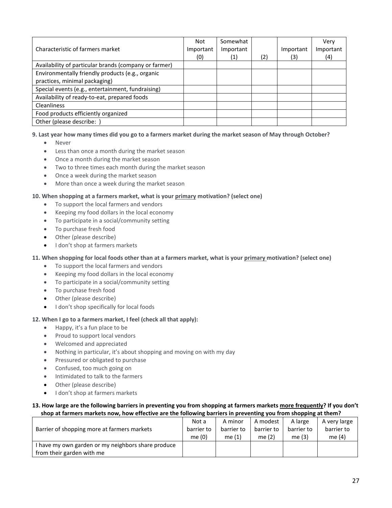|                                                       | Not       | Somewhat  |     |           | Verv      |
|-------------------------------------------------------|-----------|-----------|-----|-----------|-----------|
| Characteristic of farmers market                      | Important | Important |     | Important | Important |
|                                                       | (0)       | (1)       | (2) | (3)       | (4)       |
| Availability of particular brands (company or farmer) |           |           |     |           |           |
| Environmentally friendly products (e.g., organic      |           |           |     |           |           |
| practices, minimal packaging)                         |           |           |     |           |           |
| Special events (e.g., entertainment, fundraising)     |           |           |     |           |           |
| Availability of ready-to-eat, prepared foods          |           |           |     |           |           |
| <b>Cleanliness</b>                                    |           |           |     |           |           |
| Food products efficiently organized                   |           |           |     |           |           |
| Other (please describe: )                             |           |           |     |           |           |

#### **9. Last year how many times did you go to a farmers market during the market season of May through October?**

- Never
- Less than once a month during the market season
- Once a month during the market season
- Two to three times each month during the market season
- Once a week during the market season
- More than once a week during the market season

#### **10. When shopping at a farmers market, what is your primary motivation? (select one)**

- To support the local farmers and vendors
- Keeping my food dollars in the local economy
- To participate in a social/community setting
- To purchase fresh food
- Other (please describe)
- I don't shop at farmers markets

#### **11. When shopping for local foods other than at a farmers market, what is your primary motivation? (select one)**

- To support the local farmers and vendors
- Keeping my food dollars in the local economy
- To participate in a social/community setting
- To purchase fresh food
- Other (please describe)
- I don't shop specifically for local foods

#### **12. When I go to a farmers market, I feel (check all that apply):**

- Happy, it's a fun place to be
- Proud to support local vendors
- Welcomed and appreciated
- Nothing in particular, it's about shopping and moving on with my day
- Pressured or obligated to purchase
- Confused, too much going on
- Intimidated to talk to the farmers
- Other (please describe)
- I don't shop at farmers markets

#### **13. How large are the following barriers in preventing you from shopping at farmers markets more frequently? If you don't shop at farmers markets now, how effective are the following barriers in preventing you from shopping at them?**

| Barrier of shopping more at farmers markets                                     | Not a      | A minor    | A modest   | A large    | A very large |
|---------------------------------------------------------------------------------|------------|------------|------------|------------|--------------|
|                                                                                 | barrier to | barrier to | barrier to | barrier to | barrier to   |
|                                                                                 | me $(0)$   | me $(1)$   | me $(2)$   | me $(3)$   | me (4)       |
| I have my own garden or my neighbors share produce<br>from their garden with me |            |            |            |            |              |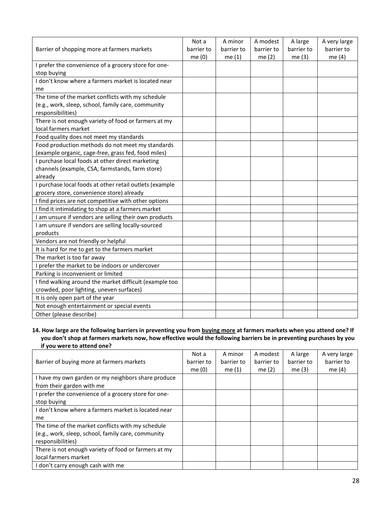|                                                         | Not a      | A minor    | A modest   | A large    | A very large |
|---------------------------------------------------------|------------|------------|------------|------------|--------------|
| Barrier of shopping more at farmers markets             | barrier to | barrier to | barrier to | barrier to | barrier to   |
|                                                         | me (0)     | me $(1)$   | me $(2)$   | me (3)     | me $(4)$     |
| I prefer the convenience of a grocery store for one-    |            |            |            |            |              |
| stop buying                                             |            |            |            |            |              |
| I don't know where a farmers market is located near     |            |            |            |            |              |
| me                                                      |            |            |            |            |              |
| The time of the market conflicts with my schedule       |            |            |            |            |              |
| (e.g., work, sleep, school, family care, community      |            |            |            |            |              |
| responsibilities)                                       |            |            |            |            |              |
| There is not enough variety of food or farmers at my    |            |            |            |            |              |
| local farmers market                                    |            |            |            |            |              |
| Food quality does not meet my standards                 |            |            |            |            |              |
| Food production methods do not meet my standards        |            |            |            |            |              |
| (example organic, cage-free, grass fed, food miles)     |            |            |            |            |              |
| I purchase local foods at other direct marketing        |            |            |            |            |              |
| channels (example, CSA, farmstands, farm store)         |            |            |            |            |              |
| already                                                 |            |            |            |            |              |
| I purchase local foods at other retail outlets (example |            |            |            |            |              |
| grocery store, convenience store) already               |            |            |            |            |              |
| I find prices are not competitive with other options    |            |            |            |            |              |
| I find it intimidating to shop at a farmers market      |            |            |            |            |              |
| I am unsure if vendors are selling their own products   |            |            |            |            |              |
| I am unsure if vendors are selling locally-sourced      |            |            |            |            |              |
| products                                                |            |            |            |            |              |
| Vendors are not friendly or helpful                     |            |            |            |            |              |
| It is hard for me to get to the farmers market          |            |            |            |            |              |
| The market is too far away                              |            |            |            |            |              |
| I prefer the market to be indoors or undercover         |            |            |            |            |              |
| Parking is inconvenient or limited                      |            |            |            |            |              |
| I find walking around the market difficult (example too |            |            |            |            |              |
| crowded, poor lighting, uneven surfaces)                |            |            |            |            |              |
| It is only open part of the year                        |            |            |            |            |              |
| Not enough entertainment or special events              |            |            |            |            |              |
| Other (please describe)                                 |            |            |            |            |              |

#### **14. How large are the following barriers in preventing you from buying more at farmers markets when you attend one? If you don't shop at farmers markets now, how effective would the following barriers be in preventing purchases by you if you were to attend one?**

|                                                      | Not a      | A minor    | A modest   | A large    | A very large |
|------------------------------------------------------|------------|------------|------------|------------|--------------|
| Barrier of buying more at farmers markets            | barrier to | barrier to | barrier to | barrier to | barrier to   |
|                                                      | me $(0)$   | me $(1)$   | me $(2)$   | me $(3)$   | me $(4)$     |
| I have my own garden or my neighbors share produce   |            |            |            |            |              |
| from their garden with me                            |            |            |            |            |              |
| I prefer the convenience of a grocery store for one- |            |            |            |            |              |
| stop buying                                          |            |            |            |            |              |
| I don't know where a farmers market is located near  |            |            |            |            |              |
| me                                                   |            |            |            |            |              |
| The time of the market conflicts with my schedule    |            |            |            |            |              |
| (e.g., work, sleep, school, family care, community   |            |            |            |            |              |
| responsibilities)                                    |            |            |            |            |              |
| There is not enough variety of food or farmers at my |            |            |            |            |              |
| local farmers market                                 |            |            |            |            |              |
| I don't carry enough cash with me                    |            |            |            |            |              |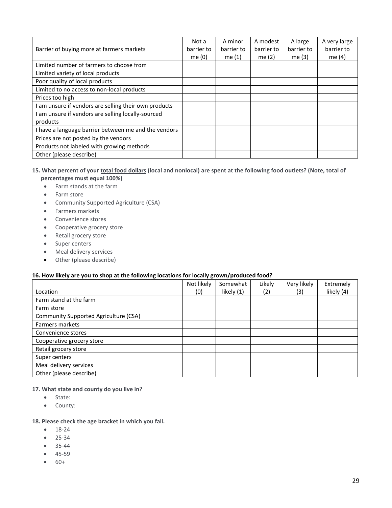|                                                      | Not a      | A minor    | A modest   | A large    | A very large |
|------------------------------------------------------|------------|------------|------------|------------|--------------|
| Barrier of buying more at farmers markets            | barrier to | barrier to | barrier to | barrier to | barrier to   |
|                                                      | me $(0)$   | me $(1)$   | me $(2)$   | me $(3)$   | me $(4)$     |
| Limited number of farmers to choose from             |            |            |            |            |              |
| Limited variety of local products                    |            |            |            |            |              |
| Poor quality of local products                       |            |            |            |            |              |
| Limited to no access to non-local products           |            |            |            |            |              |
| Prices too high                                      |            |            |            |            |              |
| am unsure if vendors are selling their own products  |            |            |            |            |              |
| I am unsure if vendors are selling locally-sourced   |            |            |            |            |              |
| products                                             |            |            |            |            |              |
| I have a language barrier between me and the vendors |            |            |            |            |              |
| Prices are not posted by the vendors                 |            |            |            |            |              |
| Products not labeled with growing methods            |            |            |            |            |              |
| Other (please describe)                              |            |            |            |            |              |

#### **15. What percent of your total food dollars (local and nonlocal) are spent at the following food outlets? (Note, total of percentages must equal 100%)**

- Farm stands at the farm
- Farm store
- Community Supported Agriculture (CSA)
- Farmers markets
- Convenience stores
- Cooperative grocery store
- Retail grocery store
- Super centers
- Meal delivery services
- Other (please describe)

#### **16. How likely are you to shop at the following locations for locally grown/produced food?**

|                                       | Not likely | Somewhat   | Likely | Very likely | Extremely  |
|---------------------------------------|------------|------------|--------|-------------|------------|
| Location                              | (0)        | likely (1) | (2)    | (3)         | likely (4) |
| Farm stand at the farm                |            |            |        |             |            |
| Farm store                            |            |            |        |             |            |
| Community Supported Agriculture (CSA) |            |            |        |             |            |
| Farmers markets                       |            |            |        |             |            |
| Convenience stores                    |            |            |        |             |            |
| Cooperative grocery store             |            |            |        |             |            |
| Retail grocery store                  |            |            |        |             |            |
| Super centers                         |            |            |        |             |            |
| Meal delivery services                |            |            |        |             |            |
| Other (please describe)               |            |            |        |             |            |

**17. What state and county do you live in?**

- State:
- County:

#### **18. Please check the age bracket in which you fall.**

- 18-24
- 25-34
- 35-44
- 45-59
- 60+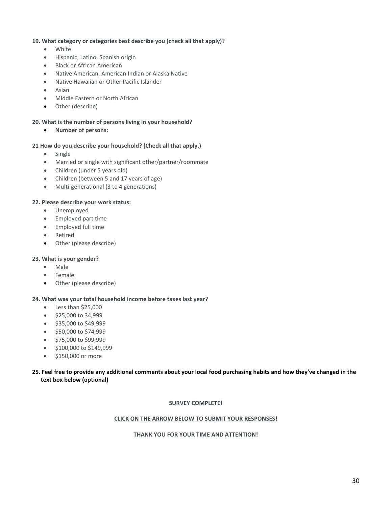#### **19. What category or categories best describe you (check all that apply)?**

- White
- Hispanic, Latino, Spanish origin
- Black or African American
- Native American, American Indian or Alaska Native
- Native Hawaiian or Other Pacific Islander
- Asian
- Middle Eastern or North African
- Other (describe)

#### **20. What is the number of persons living in your household?**

• **Number of persons:**

#### **21 How do you describe your household? (Check all that apply.)**

- Single
- Married or single with significant other/partner/roommate
- Children (under 5 years old)
- Children (between 5 and 17 years of age)
- Multi-generational (3 to 4 generations)

#### **22. Please describe your work status:**

- Unemployed
- Employed part time
- Employed full time
- Retired
- Other (please describe)

#### **23. What is your gender?**

- Male
- Female
- Other (please describe)

#### **24. What was your total household income before taxes last year?**

- Less than \$25,000
- \$25,000 to 34,999
- \$35,000 to \$49,999
- \$50,000 to \$74,999
- \$75,000 to \$99,999
- \$100,000 to \$149,999
- \$150,000 or more

#### **25. Feel free to provide any additional comments about your local food purchasing habits and how they've changed in the text box below (optional)**

#### **SURVEY COMPLETE!**

#### **CLICK ON THE ARROW BELOW TO SUBMIT YOUR RESPONSES!**

#### **THANK YOU FOR YOUR TIME AND ATTENTION!**